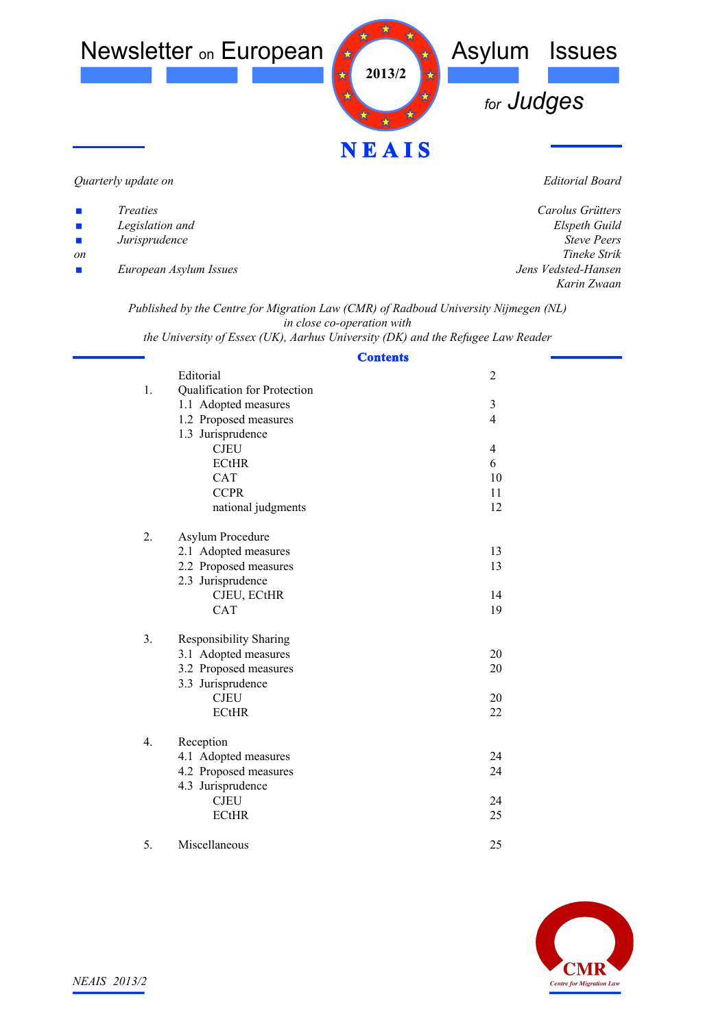

#### *Quarterly update on*

| ш | <i>Treaties</i> |
|---|-----------------|
| ш | Legislation and |
| ш | Jurisprudence   |

*on*

*European Asylum Issues*

*Editorial Board*

| Carolus Grütters    |
|---------------------|
| Elspeth Guild       |
| <b>Steve Peers</b>  |
| Tineke Strik        |
| Jens Vedsted-Hansen |
| Karin Zwaan         |
|                     |

*Published by the Centre for Migration Law (CMR) of Radboud University Nijmegen (NL) in close co-operation with*

*the University of Essex (UK), Aarhus University (DK) and the Refugee Law Reader*

### **Contents**

|    | Editorial                     | $\mathfrak{2}$ |
|----|-------------------------------|----------------|
| 1. | Qualification for Protection  |                |
|    | 1.1 Adopted measures          | $\mathfrak{Z}$ |
|    | 1.2 Proposed measures         | 4              |
|    | 1.3 Jurisprudence             |                |
|    | <b>CJEU</b>                   | 4              |
|    | <b>ECtHR</b>                  | 6              |
|    | <b>CAT</b>                    | 10             |
|    | <b>CCPR</b>                   | 11             |
|    | national judgments            | 12             |
| 2. | Asylum Procedure              |                |
|    | 2.1 Adopted measures          | 13             |
|    | 2.2 Proposed measures         | 13             |
|    | 2.3 Jurisprudence             |                |
|    | CJEU, ECtHR                   | 14             |
|    | <b>CAT</b>                    | 19             |
| 3. | <b>Responsibility Sharing</b> |                |
|    | 3.1 Adopted measures          | 20             |
|    | 3.2 Proposed measures         | 20             |
|    | 3.3 Jurisprudence             |                |
|    | <b>CJEU</b>                   | 20             |
|    | <b>ECtHR</b>                  | 22             |
|    |                               |                |
| 4. | Reception                     |                |
|    | 4.1 Adopted measures          | 24             |
|    | 4.2 Proposed measures         | 24             |
|    | 4.3 Jurisprudence             |                |
|    | <b>CJEU</b>                   | 24             |
|    | <b>ECtHR</b>                  | 25             |
| 5. | Miscellaneous                 | 25             |

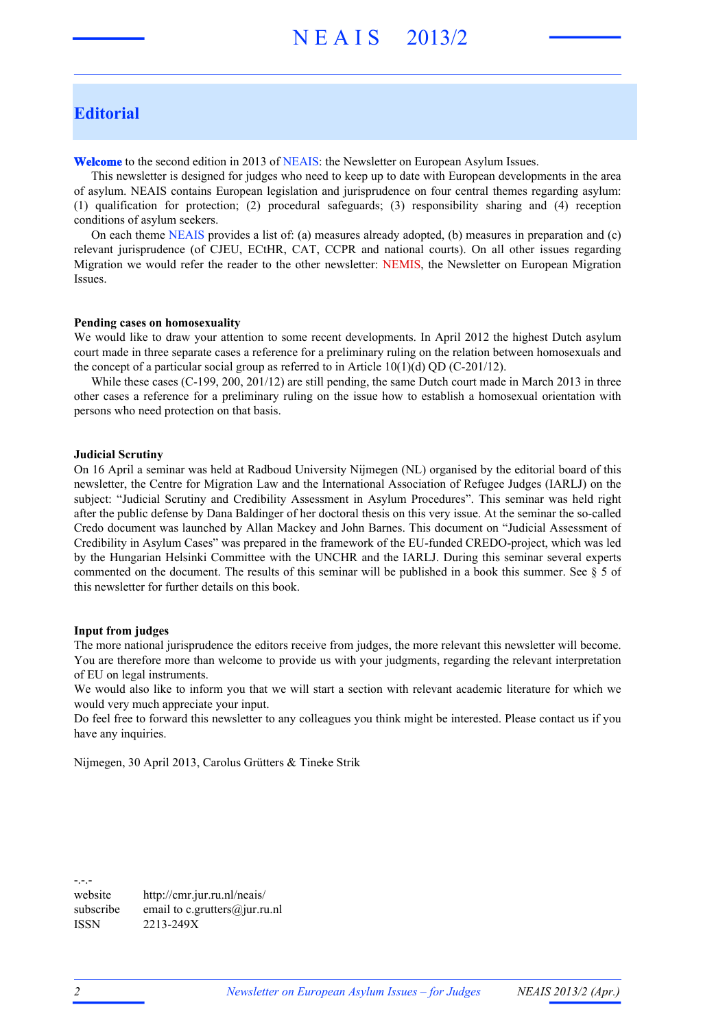### **Editorial**

**Welcome** to the second edition in 2013 of NEAIS: the Newsletter on European Asylum Issues.

This newsletter is designed for judges who need to keep up to date with European developments in the area of asylum. NEAIS contains European legislation and jurisprudence on four central themes regarding asylum: (1) qualification for protection; (2) procedural safeguards; (3) responsibility sharing and (4) reception conditions of asylum seekers.

On each theme NEAIS provides a list of: (a) measures already adopted, (b) measures in preparation and (c) relevant jurisprudence (of CJEU, ECtHR, CAT, CCPR and national courts). On all other issues regarding Migration we would refer the reader to the other newsletter: NEMIS, the Newsletter on European Migration Issues.

#### **Pending cases on homosexuality**

We would like to draw your attention to some recent developments. In April 2012 the highest Dutch asylum court made in three separate cases a reference for a preliminary ruling on the relation between homosexuals and the concept of a particular social group as referred to in Article  $10(1)(d)$  QD (C-201/12).

While these cases (C-199, 200, 201/12) are still pending, the same Dutch court made in March 2013 in three other cases a reference for a preliminary ruling on the issue how to establish a homosexual orientation with persons who need protection on that basis.

#### **Judicial Scrutiny**

On 16 April a seminar was held at Radboud University Nijmegen (NL) organised by the editorial board of this newsletter, the Centre for Migration Law and the International Association of Refugee Judges (IARLJ) on the subject: "Judicial Scrutiny and Credibility Assessment in Asylum Procedures". This seminar was held right after the public defense by Dana Baldinger of her doctoral thesis on this very issue. At the seminar the so-called Credo document was launched by Allan Mackey and John Barnes. This document on "Judicial Assessment of Credibility in Asylum Cases" was prepared in the framework of the EU-funded CREDO-project, which was led by the Hungarian Helsinki Committee with the UNCHR and the IARLJ. During this seminar several experts commented on the document. The results of this seminar will be published in a book this summer. See  $\S$  5 of this newsletter for further details on this book.

#### **Input from judges**

The more national jurisprudence the editors receive from judges, the more relevant this newsletter will become. You are therefore more than welcome to provide us with your judgments, regarding the relevant interpretation of EU on legal instruments.

We would also like to inform you that we will start a section with relevant academic literature for which we would very much appreciate your input.

Do feel free to forward this newsletter to any colleagues you think might be interested. Please contact us if you have any inquiries.

Nijmegen, 30 April 2013, Carolus Grütters & Tineke Strik

-.-. website http://cmr.jur.ru.nl/neais/ subscribe email to c.grutters@jur.ru.nl ISSN 2213-249X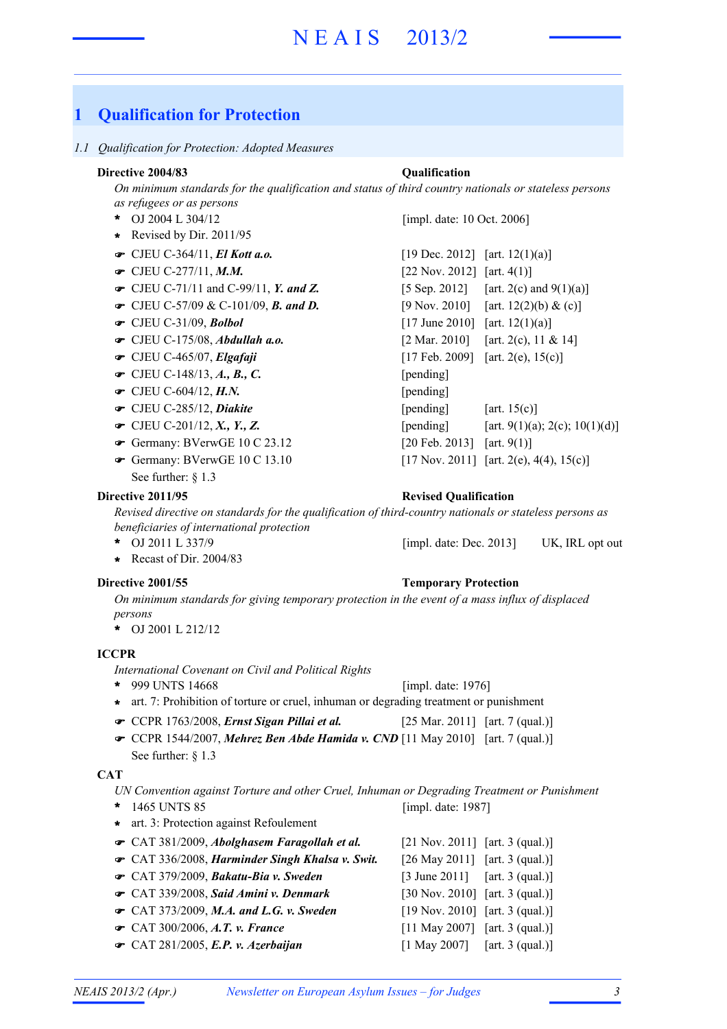### **1 Qualification for Protection**

#### *1.1 Qualification for Protection: Adopted Measures*

#### **Directive 2004/83 Qualification**

*On minimum standards for the qualification and status of third country nationals or stateless persons as refugees or as persons*

- OJ 2004 L 304/12 **\***
- **\*** Revised by Dir. 2011/95
- 
- 
- CJEU C-71/11 and C-99/11, *Y. and Z.* [5 Sep. 2012] [art. 2(c) and 9(1)(a)]
- CJEU C-57/09 & C-101/09, **B. and D.** [9 Nov. 2010] [art. 12(2)(b) & (c)]
- 
- 
- 
- $\bullet$  CJEU C-148/13, *A*., *B*., *C*. [pending]
- $\bullet$  CJEU C-604/12, *H.N.* [pending]
- 
- 
- Germany: BVerwGE 10 C 23.12 [20 Feb. 2013] [art. 9(1)]
- Germany: BVerwGE 10 C 13.10 [17 Nov. 2011] [art. 2(e), 4(4), 15(c)] See further: § 1.3

[impl. date: 10 Oct. 2006]

| $\bullet$ CJEU C-364/11, El Kott a.o.                      | [19 Dec. 2012] [art. 12(1)(a)] |                                          |
|------------------------------------------------------------|--------------------------------|------------------------------------------|
| $\bullet$ CJEU C-277/11, M.M.                              | [22 Nov. 2012] [art. $4(1)$ ]  |                                          |
| $\bullet$ CJEU C-71/11 and C-99/11, Y. and Z.              |                                | [5 Sep. 2012] [art. 2(c) and $9(1)(a)$ ] |
| $\bullet$ CJEU C-57/09 & C-101/09, <b>B.</b> and <b>D.</b> |                                | [9 Nov. 2010] [art. 12(2)(b) & (c)]      |
| $\bullet$ CJEU C-31/09, Bolbol                             | $[17 \text{ June } 2010]$      | [art. $12(1)(a)$ ]                       |
| $\bullet$ CJEU C-175/08, Abdullah a.o.                     | $[2 \text{ Mar. } 2010]$       | [art. 2(c), 11 & 14]                     |
| $\bullet$ CJEU C-465/07, Elgafaji                          |                                | [17 Feb. 2009] [art. 2(e), $15(c)$ ]     |
| $\bullet$ CJEU C-148/13, A., B., C.                        | [pending]                      |                                          |
| $\bullet$ CJEU C-604/12, H.N.                              | [pending]                      |                                          |
| CJEU C-285/12, Diakite                                     | [pending]                      | [art. $15(c)$ ]                          |
| • CJEU C-201/12, X., Y., Z.                                | [pending]                      | [art. 9(1)(a); 2(c); 10(1)(d)]           |
| Germany: BVerwGE $10 \text{ C } 23.12$                     | [20 Feb. 2013] [art. 9(1)]     |                                          |
| $\bullet$ Germany: BVerwGE 10 C 13.10                      |                                | [17 Nov. 2011] [art. 2(e), 4(4), 15(c)]  |

#### **Directive 2011/95 Revised Qualification**

*Revised directive on standards for the qualification of third-country nationals or stateless persons as beneficiaries of international protection*

- OJ 2011 L 337/9 UK, IRL opt out **\*** [impl. date: Dec. 2013]
- **\*** Recast of Dir. 2004/83

#### **Directive 2001/55 Temporary Protection**

*On minimum standards for giving temporary protection in the event of a mass influx of displaced persons*

OJ 2001 L 212/12 **\***

#### **ICCPR**

*International Covenant on Civil and Political Rights*

- 999 UNTS 14668 **\*** [impl. date: 1976]
- **\*** art. 7: Prohibition of torture or cruel, inhuman or degrading treatment or punishment
- CCPR 1763/2008, *Ernst Sigan Pillai et al.* [25 Mar. 2011] [art. 7 (qual.)]
- **← CCPR 1544/2007, Mehrez Ben Abde Hamida v. CND** [11 May 2010] [art. 7 (qual.)]

See further: § 1.3

#### **CAT**

*UN Convention against Torture and other Cruel, Inhuman or Degrading Treatment or Punishment* [impl. date: 1987]

- 1465 UNTS 85 **\***
- **\*** art. 3: Protection against Refoulement

| ← CAT 381/2009, Abolghasem Faragollah et al.    | $[21 \text{ Nov. } 2011]$ [art. 3 (qual.)]  |  |
|-------------------------------------------------|---------------------------------------------|--|
| CAT 336/2008, Harminder Singh Khalsa v. Swit.   | $[26 \text{ May } 2011]$ [art. 3 (qual.)]   |  |
| CAT 379/2009, Bakatu-Bia v. Sweden              | $[3 \text{ June } 2011]$ $[art. 3 (qual.)]$ |  |
| CAT 339/2008, Said Amini v. Denmark             | [30 Nov. 2010] [art. 3 (qual.)]             |  |
| $\bullet$ CAT 373/2009, M.A. and L.G. v. Sweden | $[19 Nov. 2010]$ [art. 3 (qual.)]           |  |
| • CAT 300/2006, A.T. v. France                  | $[11$ May 2007] [art. 3 (qual.)]            |  |
| $\bullet$ CAT 281/2005, E.P. v. Azerbaijan      | $[1 \text{ May } 2007]$ [art. 3 (qual.)]    |  |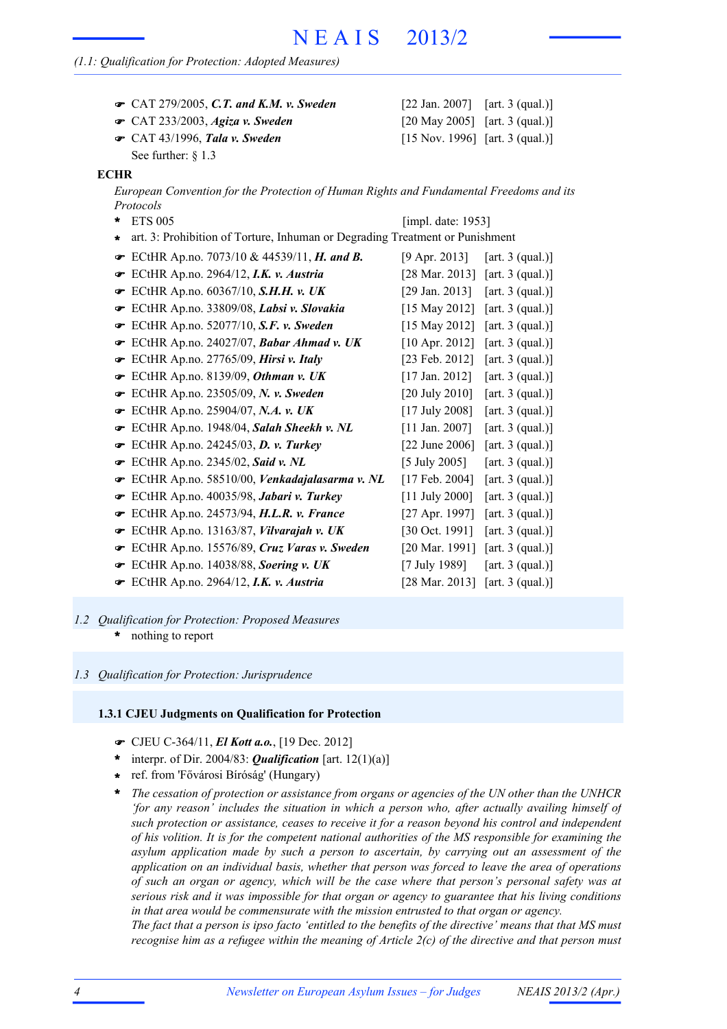#### *(1.1: Qualification for Protection: Adopted Measures)*

| $\bullet$ CAT 279/2005, C.T. and K.M. v. Sweden | [22 Jan. 2007] [art. 3 (qual.)] |  |
|-------------------------------------------------|---------------------------------|--|
| $\bullet$ CAT 233/2003, Agiza v. Sweden         | [20 May 2005] [art. 3 (qual.)]  |  |
| $\bullet$ CAT 43/1996, Tala v. Sweden           | [15 Nov. 1996] [art. 3 (qual.)] |  |

See further:  $§$  1.3

#### **ECHR**

*European Convention for the Protection of Human Rights and Fundamental Freedoms and its Protocols*

- ETS 005 **\*** [impl. date: 1953]
- **\*** art. 3: Prohibition of Torture, Inhuman or Degrading Treatment or Punishment
- **■** ECtHR Ap.no. 7073/10 & 44539/11, *H. and B.* [9 Apr. 2013] [art. 3 (qual.)]
- ECtHR Ap.no. 2964/12, *I.K. v. Austria* [28 Mar. 2013] [art. 3 (qual.)] !
- **■** ECtHR Ap.no. 60367/10, *S.H.H. v. UK* [29 Jan. 2013] [art. 3 (qual.)]
- **■** ECtHR Ap.no. 33809/08, *Labsi v. Slovakia* [15 May 2012] [art. 3 (qual.)]
- **■** ECtHR Ap.no. 52077/10, S.F. v. Sweden [15 May 2012] [art. 3 (qual.)]
- F ECtHR Ap.no. 24027/07, *Babar Ahmad v. UK* [10 Apr. 2012] [art. 3 (qual.)]
- **■** ECtHR Ap.no. 27765/09, *Hirsi v. Italy* [23 Feb. 2012] [art. 3 (qual.)]
- **■** ECtHR Ap.no. 8139/09, *Othman v. UK* [17 Jan. 2012] [art. 3 (qual.)]
- ECtHR Ap.no. 23505/09, *N. v. Sweden* [20 July 2010] [art. 3 (qual.)] !
- **■** ECtHR Ap.no. 25904/07, *N.A.* v. *UK* [17 July 2008] [art. 3 (qual.)]
- **■** ECtHR Ap.no. 1948/04, *Salah Sheekh v. NL* [11 Jan. 2007] [art. 3 (qual.)]
- **■** ECtHR Ap.no. 24245/03, **D. v. Turkey** [22 June 2006] [art. 3 (qual.)]
- **■** ECtHR Ap.no. 2345/02, *Said v. NL* [5 July 2005] [art. 3 (qual.)]
- ECtHR Ap.no. 58510/00, *Venkadajalasarma v. NL* [17 Feb. 2004] [art. 3 (qual.)] !
- ECtHR Ap.no. 40035/98, *Jabari v. Turkey* [11 July 2000] [art. 3 (qual.)] !
- ECtHR Ap.no. 24573/94, *H.L.R. v. France* [27 Apr. 1997] [art. 3 (qual.)] !
- **■** ECtHR Ap.no. 13163/87, *Vilvarajah v. UK* [30 Oct. 1991] [art. 3 (qual.)]
- ECtHR Ap.no. 15576/89, *Cruz Varas v. Sweden* [20 Mar. 1991] [art. 3 (qual.)] !
- **■** ECtHR Ap.no. 14038/88, *Soering v. UK* [7 July 1989] [art. 3 (qual.)]
- ECtHR Ap.no. 2964/12, *I.K. v. Austria* [28 Mar. 2013] [art. 3 (qual.)] !
- nothing to report **\*** *1.2 Qualification for Protection: Proposed Measures*

#### *1.3 Qualification for Protection: Jurisprudence*

#### **1.3.1 CJEU Judgments on Qualification for Protection**

- ! CJEU C-364/11, *El Kott a.o.*, [19 Dec. 2012]
- \* interpr. of Dir. 2004/83: **Qualification** [art.  $12(1)(a)$ ]
- ref. from 'Fővárosi Bíróság' (Hungary) **\***
- *The cessation of protection or assistance from organs or agencies of the UN other than the UNHCR 'for any reason' includes the situation in which a person who, after actually availing himself of such protection or assistance, ceases to receive it for a reason beyond his control and independent of his volition. It is for the competent national authorities of the MS responsible for examining the asylum application made by such a person to ascertain, by carrying out an assessment of the application on an individual basis, whether that person was forced to leave the area of operations of such an organ or agency, which will be the case where that person's personal safety was at serious risk and it was impossible for that organ or agency to guarantee that his living conditions in that area would be commensurate with the mission entrusted to that organ or agency.* **\***

The fact that a person is ipso facto 'entitled to the benefits of the directive' means that that MS must recognise him as a refugee within the meaning of Article  $2(c)$  of the directive and that person must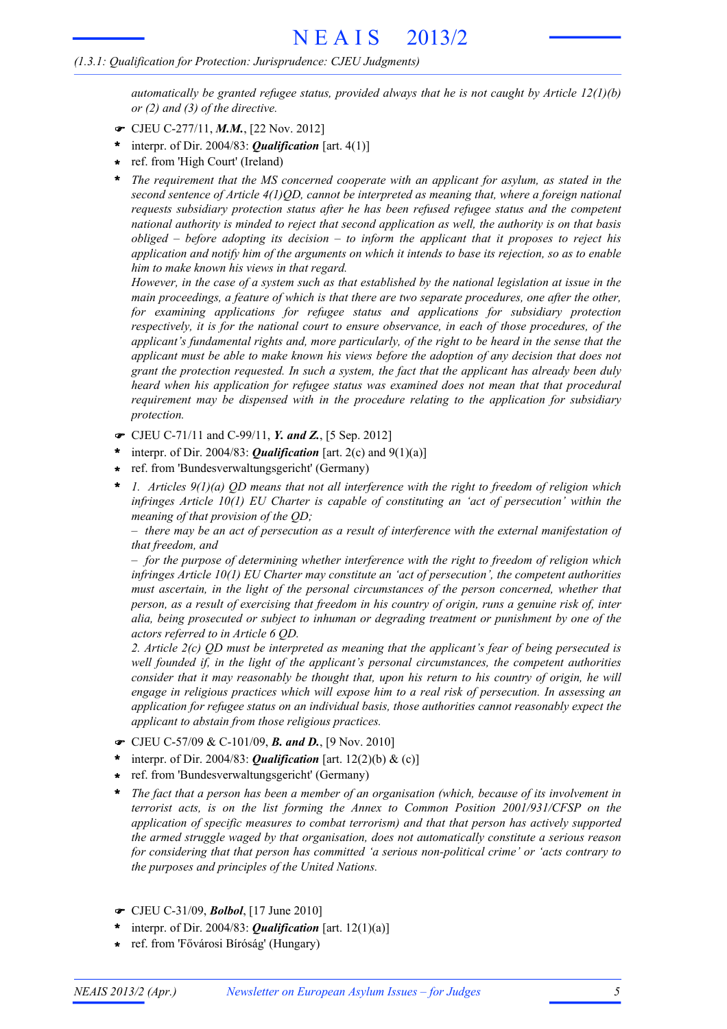#### *(1.3.1: Qualification for Protection: Jurisprudence: CJEU Judgments)*

*automatically be granted refugee status, provided always that he is not caught by Article 12(1)(b) or (2) and (3) of the directive.*

- ! CJEU C-277/11, *M.M.*, [22 Nov. 2012]
- interpr. of Dir. 2004/83: *Qualification* [art. 4(1)] **\***
- ref. from 'High Court' (Ireland) **\***
- *The requirement that the MS concerned cooperate with an applicant for asylum, as stated in the second sentence of Article 4(1)QD, cannot be interpreted as meaning that, where a foreign national requests subsidiary protection status after he has been refused refugee status and the competent national authority is minded to reject that second application as well, the authority is on that basis obliged – before adopting its decision – to inform the applicant that it proposes to reject his* application and notify him of the arguments on which it intends to base its rejection, so as to enable *him to make known his views in that regard.* **\***

However, in the case of a system such as that established by the national legislation at issue in the *main proceedings, a feature of which is that there are two separate procedures, one after the other, for examining applications for refugee status and applications for subsidiary protection respectively, it is for the national court to ensure observance, in each of those procedures, of the applicant's fundamental rights and, more particularly, of the right to be heard in the sense that the applicant must be able to make known his views before the adoption of any decision that does not grant the protection requested. In such a system, the fact that the applicant has already been duly heard when his application for refugee status was examined does not mean that that procedural requirement may be dispensed with in the procedure relating to the application for subsidiary protection.*

- ! CJEU C-71/11 and C-99/11, *Y. and Z.*, [5 Sep. 2012]
- interpr. of Dir. 2004/83: *Qualification* [art. 2(c) and 9(1)(a)] **\***
- ref. from 'Bundesverwaltungsgericht' (Germany) **\***
- *1. Articles 9(1)(a) QD means that not all interference with the right to freedom of religion which infringes Article 10(1) EU Charter is capable of constituting an 'act of persecution' within the meaning of that provision of the QD;* **\***

 $-$  there may be an act of persecution as a result of interference with the external manifestation of *that freedom, and*

*– for the purpose of determining whether interference with the right to freedom of religion which infringes Article 10(1) EU Charter may constitute an 'act of persecution', the competent authorities must ascertain, in the light of the personal circumstances of the person concerned, whether that* person, as a result of exercising that freedom in his country of origin, runs a genuine risk of, inter *alia, being prosecuted or subject to inhuman or degrading treatment or punishment by one of the actors referred to in Article 6 QD.*

*2. Article 2(c) QD must be interpreted as meaning that the applicant's fear of being persecuted is well founded if, in the light of the applicant's personal circumstances, the competent authorities consider that it may reasonably be thought that, upon his return to his country of origin, he will engage in religious practices which will expose him to a real risk of persecution. In assessing an application for refugee status on an individual basis, those authorities cannot reasonably expect the applicant to abstain from those religious practices.*

- ! CJEU C-57/09 & C-101/09, *B. and D.*, [9 Nov. 2010]
- interpr. of Dir. 2004/83: *Qualification* [art. 12(2)(b) & (c)] **\***
- ref. from 'Bundesverwaltungsgericht' (Germany) **\***
- *The fact that a person has been a member of an organisation (which, because of its involvement in terrorist acts, is on the list forming the Annex to Common Position 2001/931/CFSP on the application of specific measures to combat terrorism) and that that person has actively supported the armed struggle waged by that organisation, does not automatically constitute a serious reason for considering that that person has committed 'a serious non-political crime' or 'acts contrary to the purposes and principles of the United Nations.* **\***
- ! CJEU C-31/09, *Bolbol*, [17 June 2010]
- \* interpr. of Dir. 2004/83: **Qualification** [art.  $12(1)(a)$ ]
- ref. from 'Fővárosi Bíróság' (Hungary) **\***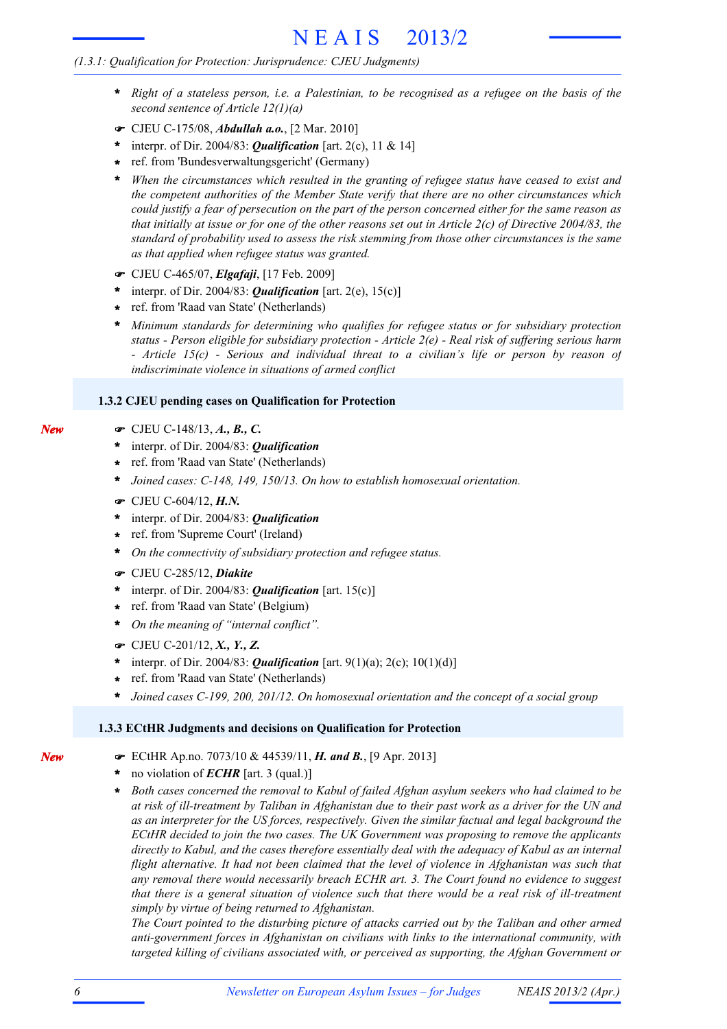#### *(1.3.1: Qualification for Protection: Jurisprudence: CJEU Judgments)*

- Right of a stateless person, i.e. a Palestinian, to be recognised as a refugee on the basis of the *second sentence of Article 12(1)(a)* **\***
- ! CJEU C-175/08, *Abdullah a.o.*, [2 Mar. 2010]
- interpr. of Dir. 2004/83: *Qualification* [art. 2(c), 11 & 14] **\***
- ref. from 'Bundesverwaltungsgericht' (Germany) **\***
- *When the circumstances which resulted in the granting of refugee status have ceased to exist and the competent authorities of the Member State verify that there are no other circumstances which* could justify a fear of persecution on the part of the person concerned either for the same reason as that initially at issue or for one of the other reasons set out in Article  $2(c)$  of Directive 2004/83, the *standard of probability used to assess the risk stemming from those other circumstances is the same as that applied when refugee status was granted.* **\***
- ! CJEU C-465/07, *Elgafaji*, [17 Feb. 2009]
- \* interpr. of Dir. 2004/83: **Qualification** [art. 2(e),  $15(c)$ ]
- ref. from 'Raad van State' (Netherlands) **\***
- *Minimum standards for determining who qualifies for refugee status or for subsidiary protection status - Person eligible for subsidiary protection - Article 2(e) - Real risk of suffering serious harm - Article 15(c) - Serious and individual threat to a civilian's life or person by reason of indiscriminate violence in situations of armed conflict* **\***

#### **1.3.2 CJEU pending cases on Qualification for Protection**

- ! CJEU C-148/13, *A., B., C.*
- interpr. of Dir. 2004/83: *Qualification* **\***
- ref. from 'Raad van State' (Netherlands) **\***
- *Joined cases: C-148, 149, 150/13. On how to establish homosexual orientation.* **\***
- ! CJEU C-604/12, *H.N.*
- interpr. of Dir. 2004/83: *Qualification* **\***
- ref. from 'Supreme Court' (Ireland) **\***
- *On the connectivity of subsidiary protection and refugee status.* **\***
- ! CJEU C-285/12, *Diakite*
- \* interpr. of Dir. 2004/83: *Qualification* [art. 15(c)]
- ref. from 'Raad van State' (Belgium) **\***
- *On the meaning of "internal conflict".* **\***
- ! CJEU C-201/12, *X., Y., Z.*
- interpr. of Dir. 2004/83: *Qualification* [art. 9(1)(a); 2(c); 10(1)(d)] **\***
- ref. from 'Raad van State' (Netherlands) **\***
- *Joined cases C-199, 200, 201/12. On homosexual orientation and the concept of a social group* **\***

#### **1.3.3 ECtHR Judgments and decisions on Qualification for Protection**

- ! ECtHR Ap.no. 7073/10 & 44539/11, *H. and B.*, [9 Apr. 2013]
- no violation of *ECHR* [art. 3 (qual.)] **\***
- *Both cases concerned the removal to Kabul of failed Afghan asylum seekers who had claimed to be* at risk of ill-treatment by Taliban in Afghanistan due to their past work as a driver for the UN and *as an interpreter for the US forces, respectively. Given the similar factual and legal background the ECtHR decided to join the two cases. The UK Government was proposing to remove the applicants directly to Kabul, and the cases therefore essentially deal with the adequacy of Kabul as an internal flight alternative. It had not been claimed that the level of violence in Afghanistan was such that any removal there would necessarily breach ECHR art. 3. The Court found no evidence to suggest* that there is a general situation of violence such that there would be a real risk of ill-treatment *simply by virtue of being returned to Afghanistan.* **\***

*The Court pointed to the disturbing picture of attacks carried out by the Taliban and other armed anti-government forces in Afghanistan on civilians with links to the international community, with targeted killing of civilians associated with, or perceived as supporting, the Afghan Government or*

*New*

*New*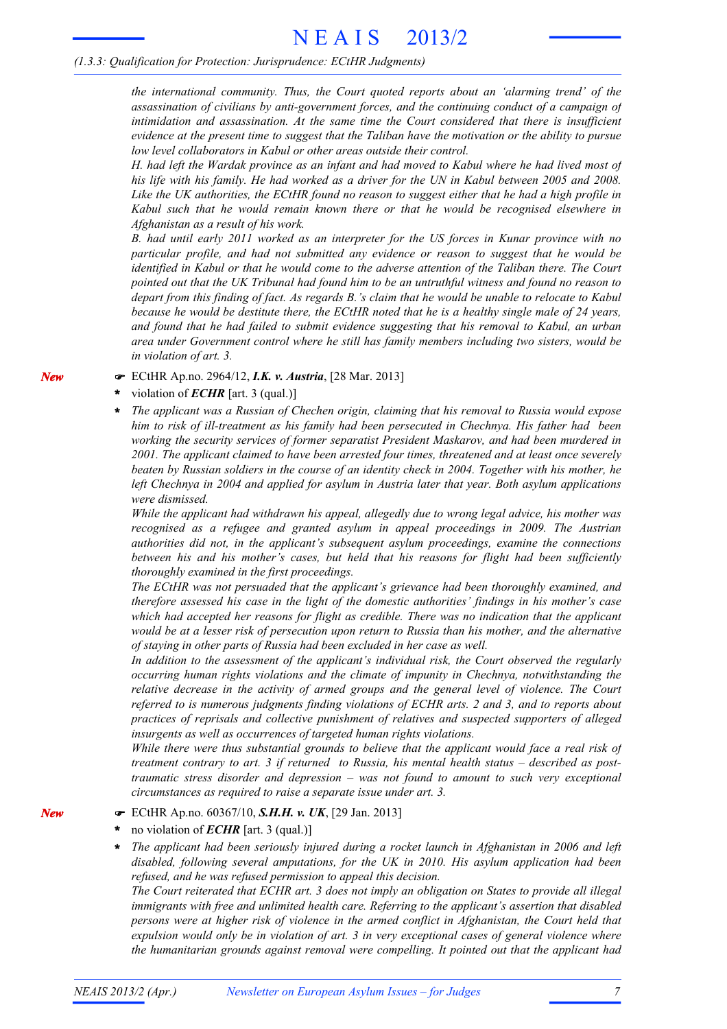#### *(1.3.3: Qualification for Protection: Jurisprudence: ECtHR Judgments)*

*the international community. Thus, the Court quoted reports about an 'alarming trend' of the assassination of civilians by anti-government forces, and the continuing conduct of a campaign of intimidation and assassination. At the same time the Court considered that there is insufficient* evidence at the present time to suggest that the Taliban have the motivation or the ability to pursue *low level collaborators in Kabul or other areas outside their control.*

H. had left the Wardak province as an infant and had moved to Kabul where he had lived most of his life with his family. He had worked as a driver for the UN in Kabul between 2005 and 2008. Like the UK authorities, the ECtHR found no reason to suggest either that he had a high profile in *Kabul such that he would remain known there or that he would be recognised elsewhere in Afghanistan as a result of his work.*

*B. had until early 2011 worked as an interpreter for the US forces in Kunar province with no particular profile, and had not submitted any evidence or reason to suggest that he would be identified in Kabul or that he would come to the adverse attention of the Taliban there. The Court* pointed out that the UK Tribunal had found him to be an untruthful witness and found no reason to depart from this finding of fact. As regards B.'s claim that he would be unable to relocate to Kabul because he would be destitute there, the ECtHR noted that he is a healthy single male of 24 years, *and found that he had failed to submit evidence suggesting that his removal to Kabul, an urban area under Government control where he still has family members including two sisters, would be in violation of art. 3.*

#### ! ECtHR Ap.no. 2964/12, *I.K. v. Austria*, [28 Mar. 2013]

#### violation of *ECHR* [art. 3 (qual.)] **\***

*The applicant was a Russian of Chechen origin, claiming that his removal to Russia would expose him to risk of ill-treatment as his family had been persecuted in Chechnya. His father had been working the security services of former separatist President Maskarov, and had been murdered in 2001. The applicant claimed to have been arrested four times, threatened and at least once severely* beaten by Russian soldiers in the course of an identity check in 2004. Together with his mother, he *left Chechnya in 2004 and applied for asylum in Austria later that year. Both asylum applications were dismissed.*

*While the applicant had withdrawn his appeal, allegedly due to wrong legal advice, his mother was recognised as a refugee and granted asylum in appeal proceedings in 2009. The Austrian authorities did not, in the applicant's subsequent asylum proceedings, examine the connections between his and his mother's cases, but held that his reasons for flight had been sufficiently thoroughly examined in the first proceedings.*

*The ECtHR was not persuaded that the applicant's grievance had been thoroughly examined, and therefore assessed his case in the light of the domestic authorities' findings in his mother's case which had accepted her reasons for flight as credible. There was no indication that the applicant* would be at a lesser risk of persecution upon return to Russia than his mother, and the alternative *of staying in other parts of Russia had been excluded in her case as well.*

*In addition to the assessment of the applicant's individual risk, the Court observed the regularly occurring human rights violations and the climate of impunity in Chechnya, notwithstanding the relative decrease in the activity of armed groups and the general level of violence. The Court referred to is numerous judgments finding violations of ECHR arts. 2 and 3, and to reports about practices of reprisals and collective punishment of relatives and suspected supporters of alleged insurgents as well as occurrences of targeted human rights violations.*

*While there were thus substantial grounds to believe that the applicant would face a real risk of treatment contrary to art. 3 if returned to Russia, his mental health status – described as posttraumatic stress disorder and depression – was not found to amount to such very exceptional circumstances as required to raise a separate issue under art. 3.*

#### ! ECtHR Ap.no. 60367/10, *S.H.H. v. UK*, [29 Jan. 2013]

#### no violation of *ECHR* [art. 3 (qual.)] **\***

*The applicant had been seriously injured during a rocket launch in Afghanistan in 2006 and left disabled, following several amputations, for the UK in 2010. His asylum application had been refused, and he was refused permission to appeal this decision.* **\***

The Court reiterated that ECHR art. 3 does not imply an obligation on States to provide all illegal *immigrants with free and unlimited health care. Referring to the applicant's assertion that disabled persons were at higher risk of violence in the armed conflict in Afghanistan, the Court held that expulsion would only be in violation of art. 3 in very exceptional cases of general violence where the humanitarian grounds against removal were compelling. It pointed out that the applicant had*

*New*

*New*

**\***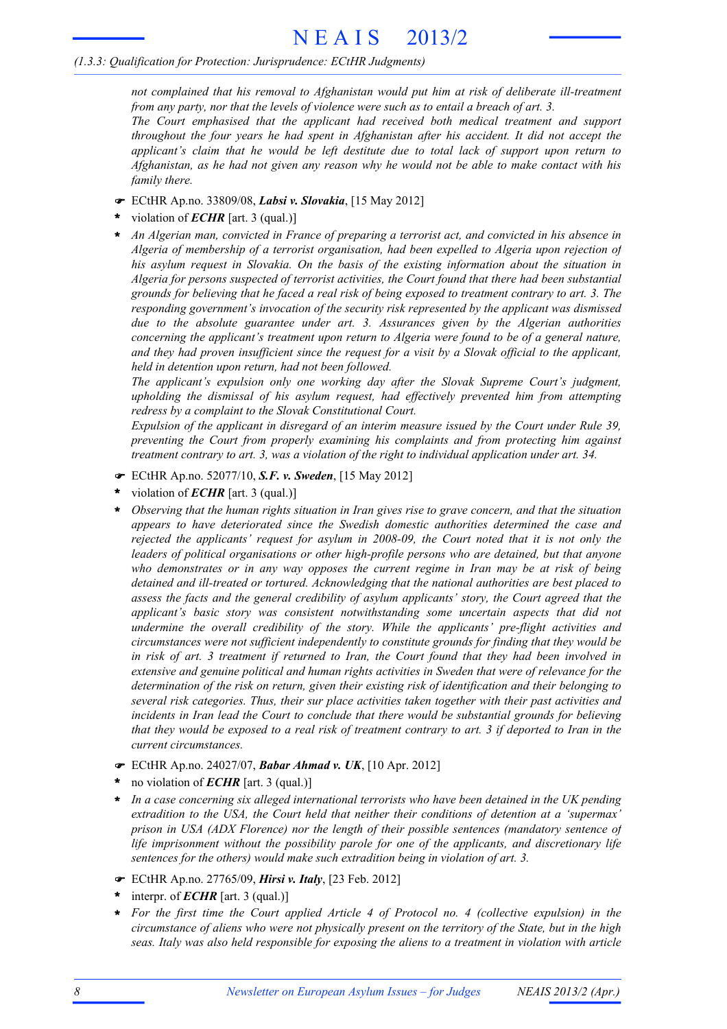#### *(1.3.3: Qualification for Protection: Jurisprudence: ECtHR Judgments)*

*not complained that his removal to Afghanistan would put him at risk of deliberate ill-treatment from any party, nor that the levels of violence were such as to entail a breach of art. 3.*

*The Court emphasised that the applicant had received both medical treatment and support throughout the four years he had spent in Afghanistan after his accident. It did not accept the applicant's claim that he would be left destitute due to total lack of support upon return to* Afghanistan, as he had not given any reason why he would not be able to make contact with his *family there.*

- ! ECtHR Ap.no. 33809/08, *Labsi v. Slovakia*, [15 May 2012]
- violation of *ECHR* [art. 3 (qual.)] **\***
- *An Algerian man, convicted in France of preparing a terrorist act, and convicted in his absence in Algeria of membership of a terrorist organisation, had been expelled to Algeria upon rejection of his asylum request in Slovakia. On the basis of the existing information about the situation in Algeria for persons suspected of terrorist activities, the Court found that there had been substantial* grounds for believing that he faced a real risk of being exposed to treatment contrary to art. 3. The *responding government's invocation of the security risk represented by the applicant was dismissed due to the absolute guarantee under art. 3. Assurances given by the Algerian authorities concerning the applicant's treatment upon return to Algeria were found to be of a general nature,* and they had proven insufficient since the request for a visit by a Slovak official to the applicant, *held in detention upon return, had not been followed.* **\***

*The applicant's expulsion only one working day after the Slovak Supreme Court's judgment, upholding the dismissal of his asylum request, had effectively prevented him from attempting redress by a complaint to the Slovak Constitutional Court.*

*Expulsion of the applicant in disregard of an interim measure issued by the Court under Rule 39, preventing the Court from properly examining his complaints and from protecting him against treatment contrary to art. 3, was a violation of the right to individual application under art. 34.*

- ! ECtHR Ap.no. 52077/10, *S.F. v. Sweden*, [15 May 2012]
- violation of *ECHR* [art. 3 (qual.)] **\***
- *Observing that the human rights situation in Iran gives rise to grave concern, and that the situation appears to have deteriorated since the Swedish domestic authorities determined the case and rejected the applicants' request for asylum in 2008-09, the Court noted that it is not only the leaders of political organisations or other high-profile persons who are detained, but that anyone who demonstrates or in any way opposes the current regime in Iran may be at risk of being detained and ill-treated or tortured. Acknowledging that the national authorities are best placed to assess the facts and the general credibility of asylum applicants' story, the Court agreed that the applicant's basic story was consistent notwithstanding some uncertain aspects that did not undermine the overall credibility of the story. While the applicants' pre-flight activities and circumstances were not sufficient independently to constitute grounds for finding that they would be* in risk of art. 3 treatment if returned to Iran, the Court found that they had been involved in *extensive and genuine political and human rights activities in Sweden that were of relevance for the determination of the risk on return, given their existing risk of identification and their belonging to several risk categories. Thus, their sur place activities taken together with their past activities and incidents in Iran lead the Court to conclude that there would be substantial grounds for believing* that they would be exposed to a real risk of treatment contrary to art. 3 if deported to Iran in the *current circumstances.* **\***
- ! ECtHR Ap.no. 24027/07, *Babar Ahmad v. UK*, [10 Apr. 2012]
- no violation of *ECHR* [art. 3 (qual.)] **\***
- *In a case concerning six alleged international terrorists who have been detained in the UK pending extradition to the USA, the Court held that neither their conditions of detention at a 'supermax' prison in USA (ADX Florence) nor the length of their possible sentences (mandatory sentence of life imprisonment without the possibility parole for one of the applicants, and discretionary life sentences for the others) would make such extradition being in violation of art. 3.* **\***
- ! ECtHR Ap.no. 27765/09, *Hirsi v. Italy*, [23 Feb. 2012]
- interpr. of *ECHR* [art. 3 (qual.)] **\***
- *For the first time the Court applied Article 4 of Protocol no. 4 (collective expulsion) in the* **\*** circumstance of aliens who were not physically present on the territory of the State, but in the high *seas. Italy was also held responsible for exposing the aliens to a treatment in violation with article*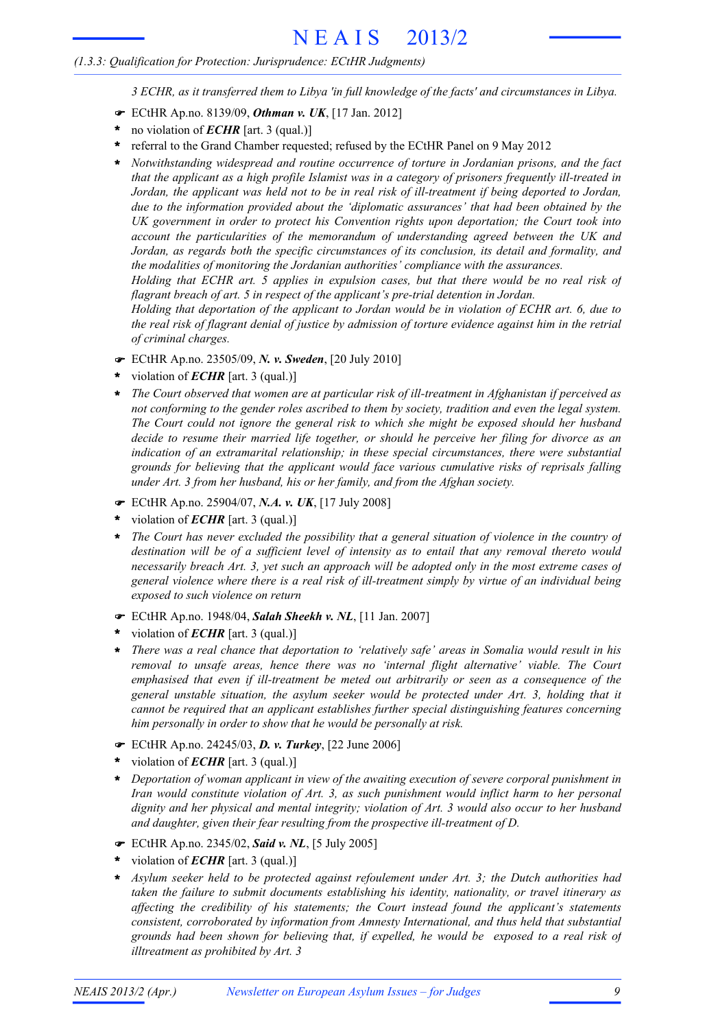#### *(1.3.3: Qualification for Protection: Jurisprudence: ECtHR Judgments)*

*3 ECHR, as it transferred them to Libya 'in full knowledge of the facts' and circumstances in Libya.*

- ! ECtHR Ap.no. 8139/09, *Othman v. UK*, [17 Jan. 2012]
- no violation of *ECHR* [art. 3 (qual.)] **\***
- \* referral to the Grand Chamber requested; refused by the ECtHR Panel on 9 May 2012
- *Notwithstanding widespread and routine occurrence of torture in Jordanian prisons, and the fact* **\*** *that the applicant as a high profile Islamist was in a category of prisoners frequently ill-treated in* Jordan, the applicant was held not to be in real risk of ill-treatment if being deported to Jordan, *due to the information provided about the 'diplomatic assurances' that had been obtained by the UK government in order to protect his Convention rights upon deportation; the Court took into account the particularities of the memorandum of understanding agreed between the UK and Jordan, as regards both the specific circumstances of its conclusion, its detail and formality, and the modalities of monitoring the Jordanian authorities' compliance with the assurances.*

*Holding that ECHR art. 5 applies in expulsion cases, but that there would be no real risk of flagrant breach of art. 5 in respect of the applicant's pre-trial detention in Jordan.*

*Holding that deportation of the applicant to Jordan would be in violation of ECHR art. 6, due to* the real risk of flagrant denial of justice by admission of torture evidence against him in the retrial *of criminal charges.*

- ! ECtHR Ap.no. 23505/09, *N. v. Sweden*, [20 July 2010]
- violation of *ECHR* [art. 3 (qual.)] **\***
- *The Court observed that women are at particular risk of ill-treatment in Afghanistan if perceived as not conforming to the gender roles ascribed to them by society, tradition and even the legal system. The Court could not ignore the general risk to which she might be exposed should her husband decide to resume their married life together, or should he perceive her filing for divorce as an indication of an extramarital relationship; in these special circumstances, there were substantial grounds for believing that the applicant would face various cumulative risks of reprisals falling under Art. 3 from her husband, his or her family, and from the Afghan society.* **\***
- ! ECtHR Ap.no. 25904/07, *N.A. v. UK*, [17 July 2008]
- violation of *ECHR* [art. 3 (qual.)] **\***
- *The Court has never excluded the possibility that a general situation of violence in the country of destination will be of a sufficient level of intensity as to entail that any removal thereto would necessarily breach Art. 3, yet such an approach will be adopted only in the most extreme cases of general violence where there is a real risk of ill-treatment simply by virtue of an individual being exposed to such violence on return* **\***
- ! ECtHR Ap.no. 1948/04, *Salah Sheekh v. NL*, [11 Jan. 2007]
- violation of *ECHR* [art. 3 (qual.)] **\***
- *There was a real chance that deportation to 'relatively safe' areas in Somalia would result in his removal to unsafe areas, hence there was no 'internal flight alternative' viable. The Court emphasised that even if ill-treatment be meted out arbitrarily or seen as a consequence of the general unstable situation, the asylum seeker would be protected under Art. 3, holding that it cannot be required that an applicant establishes further special distinguishing features concerning him personally in order to show that he would be personally at risk.* **\***
- ! ECtHR Ap.no. 24245/03, *D. v. Turkey*, [22 June 2006]
- violation of *ECHR* [art. 3 (qual.)] **\***
- *Deportation of woman applicant in view of the awaiting execution of severe corporal punishment in* **\*** *Iran would constitute violation of Art. 3, as such punishment would inflict harm to her personal dignity and her physical and mental integrity; violation of Art. 3 would also occur to her husband and daughter, given their fear resulting from the prospective ill-treatment of D.*
- ! ECtHR Ap.no. 2345/02, *Said v. NL*, [5 July 2005]
- violation of *ECHR* [art. 3 (qual.)] **\***
- *Asylum seeker held to be protected against refoulement under Art. 3; the Dutch authorities had taken the failure to submit documents establishing his identity, nationality, or travel itinerary as affecting the credibility of his statements; the Court instead found the applicant's statements consistent, corroborated by information from Amnesty International, and thus held that substantial grounds had been shown for believing that, if expelled, he would be exposed to a real risk of illtreatment as prohibited by Art. 3* **\***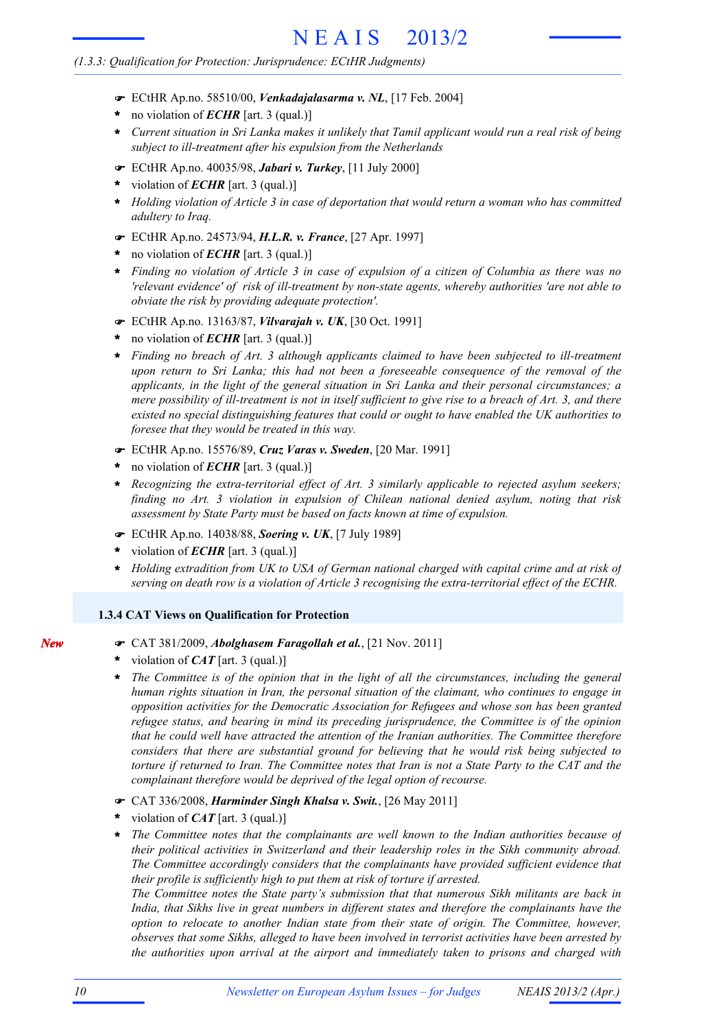### *(1.3.3: Qualification for Protection: Jurisprudence: ECtHR Judgments)*

- ! ECtHR Ap.no. 58510/00, *Venkadajalasarma v. NL*, [17 Feb. 2004]
- no violation of *ECHR* [art. 3 (qual.)] **\***
- Current situation in Sri Lanka makes it unlikely that Tamil applicant would run a real risk of being *subject to ill-treatment after his expulsion from the Netherlands* **\***
- ! ECtHR Ap.no. 40035/98, *Jabari v. Turkey*, [11 July 2000]
- violation of *ECHR* [art. 3 (qual.)] **\***
- *Holding violation of Article 3 in case of deportation that would return a woman who has committed adultery to Iraq.* **\***
- ! ECtHR Ap.no. 24573/94, *H.L.R. v. France*, [27 Apr. 1997]
- no violation of *ECHR* [art. 3 (qual.)] **\***
- Finding no violation of Article 3 in case of expulsion of a citizen of Columbia as there was no *'relevant evidence' of risk of ill-treatment by non-state agents, whereby authorities 'are not able to obviate the risk by providing adequate protection'.* **\***
- ! ECtHR Ap.no. 13163/87, *Vilvarajah v. UK*, [30 Oct. 1991]
- no violation of *ECHR* [art. 3 (qual.)] **\***
- *Finding no breach of Art. 3 although applicants claimed to have been subjected to ill-treatment upon return to Sri Lanka; this had not been a foreseeable consequence of the removal of the applicants, in the light of the general situation in Sri Lanka and their personal circumstances; a* mere possibility of ill-treatment is not in itself sufficient to give rise to a breach of Art. 3, and there *existed no special distinguishing features that could or ought to have enabled the UK authorities to foresee that they would be treated in this way.* **\***
- ! ECtHR Ap.no. 15576/89, *Cruz Varas v. Sweden*, [20 Mar. 1991]
- no violation of *ECHR* [art. 3 (qual.)] **\***
- *Recognizing the extra-territorial effect of Art. 3 similarly applicable to rejected asylum seekers; finding no Art. 3 violation in expulsion of Chilean national denied asylum, noting that risk assessment by State Party must be based on facts known at time of expulsion.* **\***
- ! ECtHR Ap.no. 14038/88, *Soering v. UK*, [7 July 1989]
- violation of *ECHR* [art. 3 (qual.)] **\***
- *Holding extradition from UK to USA of German national charged with capital crime and at risk of serving on death row is a violation of Article 3 recognising the extra-territorial effect of the ECHR.* **\***

### **1.3.4 CAT Views on Qualification for Protection**

- ! CAT 381/2009, *Abolghasem Faragollah et al.*, [21 Nov. 2011]
- violation of *CAT* [art. 3 (qual.)] **\***
- *The Committee is of the opinion that in the light of all the circumstances, including the general human rights situation in Iran, the personal situation of the claimant, who continues to engage in opposition activities for the Democratic Association for Refugees and whose son has been granted refugee status, and bearing in mind its preceding jurisprudence, the Committee is of the opinion that he could well have attracted the attention of the Iranian authorities. The Committee therefore considers that there are substantial ground for believing that he would risk being subjected to* torture if returned to Iran. The Committee notes that Iran is not a State Party to the CAT and the *complainant therefore would be deprived of the legal option of recourse.* **\***
- ! CAT 336/2008, *Harminder Singh Khalsa v. Swit.*, [26 May 2011]
- violation of *CAT* [art. 3 (qual.)] **\***
- *The Committee notes that the complainants are well known to the Indian authorities because of their political activities in Switzerland and their leadership roles in the Sikh community abroad. The Committee accordingly considers that the complainants have provided sufficient evidence that their profile is sufficiently high to put them at risk of torture if arrested.* **\***

*The Committee notes the State party's submission that that numerous Sikh militants are back in India, that Sikhs live in great numbers in different states and therefore the complainants have the option to relocate to another Indian state from their state of origin. The Committee, however, observes that some Sikhs, alleged to have been involved in terrorist activities have been arrested by the authorities upon arrival at the airport and immediately taken to prisons and charged with*

*New*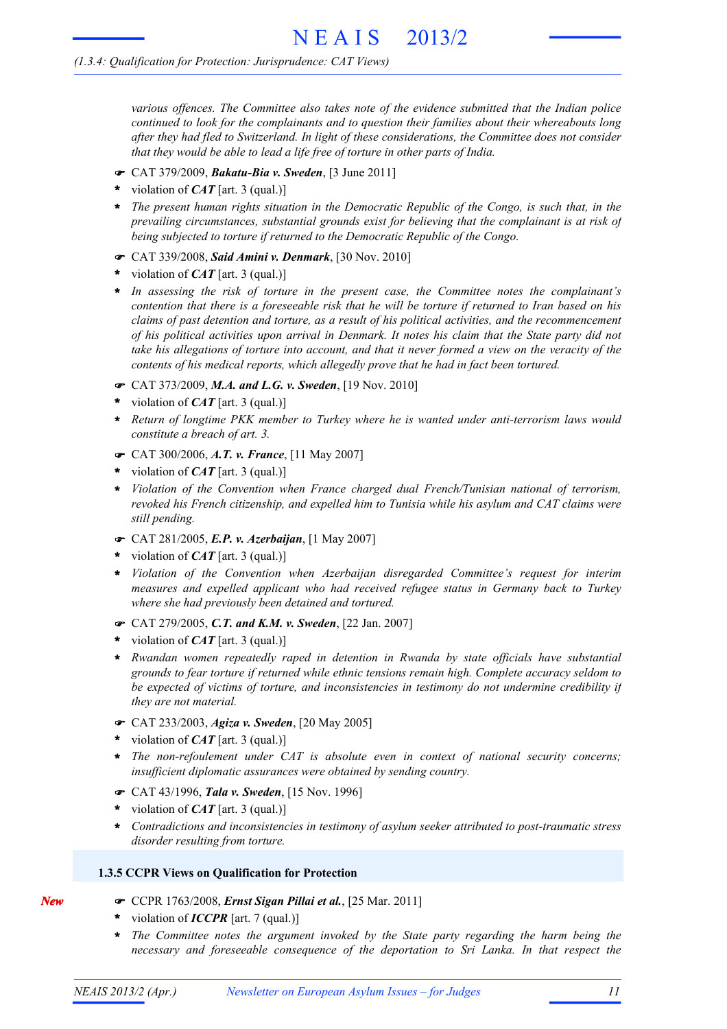*various offences. The Committee also takes note of the evidence submitted that the Indian police continued to look for the complainants and to question their families about their whereabouts long after they had fled to Switzerland. In light of these considerations, the Committee does not consider that they would be able to lead a life free of torture in other parts of India.*

- ! CAT 379/2009, *Bakatu-Bia v. Sweden*, [3 June 2011]
- violation of *CAT* [art. 3 (qual.)] **\***
- *The present human rights situation in the Democratic Republic of the Congo, is such that, in the* **\*** *prevailing circumstances, substantial grounds exist for believing that the complainant is at risk of being subjected to torture if returned to the Democratic Republic of the Congo.*
- ! CAT 339/2008, *Said Amini v. Denmark*, [30 Nov. 2010]
- violation of *CAT* [art. 3 (qual.)] **\***
- *In assessing the risk of torture in the present case, the Committee notes the complainant's* contention that there is a foreseeable risk that he will be torture if returned to Iran based on his *claims of past detention and torture, as a result of his political activities, and the recommencement* of his political activities upon arrival in Denmark. It notes his claim that the State party did not take his allegations of torture into account, and that it never formed a view on the veracity of the *contents of his medical reports, which allegedly prove that he had in fact been tortured.* **\***
- ! CAT 373/2009, *M.A. and L.G. v. Sweden*, [19 Nov. 2010]
- violation of *CAT* [art. 3 (qual.)] **\***
- *Return of longtime PKK member to Turkey where he is wanted under anti-terrorism laws would* **\*** *constitute a breach of art. 3.*
- ! CAT 300/2006, *A.T. v. France*, [11 May 2007]
- violation of *CAT* [art. 3 (qual.)] **\***
- *Violation of the Convention when France charged dual French/Tunisian national of terrorism, revoked his French citizenship, and expelled him to Tunisia while his asylum and CAT claims were still pending.* **\***
- ! CAT 281/2005, *E.P. v. Azerbaijan*, [1 May 2007]
- violation of *CAT* [art. 3 (qual.)] **\***
- *Violation of the Convention when Azerbaijan disregarded Committee's request for interim measures and expelled applicant who had received refugee status in Germany back to Turkey where she had previously been detained and tortured.* **\***
- ! CAT 279/2005, *C.T. and K.M. v. Sweden*, [22 Jan. 2007]
- violation of *CAT* [art. 3 (qual.)] **\***
- *Rwandan women repeatedly raped in detention in Rwanda by state officials have substantial* **\*** *grounds to fear torture if returned while ethnic tensions remain high. Complete accuracy seldom to be expected of victims of torture, and inconsistencies in testimony do not undermine credibility if they are not material.*
- ! CAT 233/2003, *Agiza v. Sweden*, [20 May 2005]
- violation of *CAT* [art. 3 (qual.)] **\***
- *The non-refoulement under CAT is absolute even in context of national security concerns; insufficient diplomatic assurances were obtained by sending country.* **\***
- ! CAT 43/1996, *Tala v. Sweden*, [15 Nov. 1996]
- violation of *CAT* [art. 3 (qual.)] **\***
- *Contradictions and inconsistencies in testimony of asylum seeker attributed to post-traumatic stress disorder resulting from torture.* **\***

#### **1.3.5 CCPR Views on Qualification for Protection**

- ! CCPR 1763/2008, *Ernst Sigan Pillai et al.*, [25 Mar. 2011]
- violation of *ICCPR* [art. 7 (qual.)] **\***

*New*

*The Committee notes the argument invoked by the State party regarding the harm being the necessary and foreseeable consequence of the deportation to Sri Lanka. In that respect the* **\***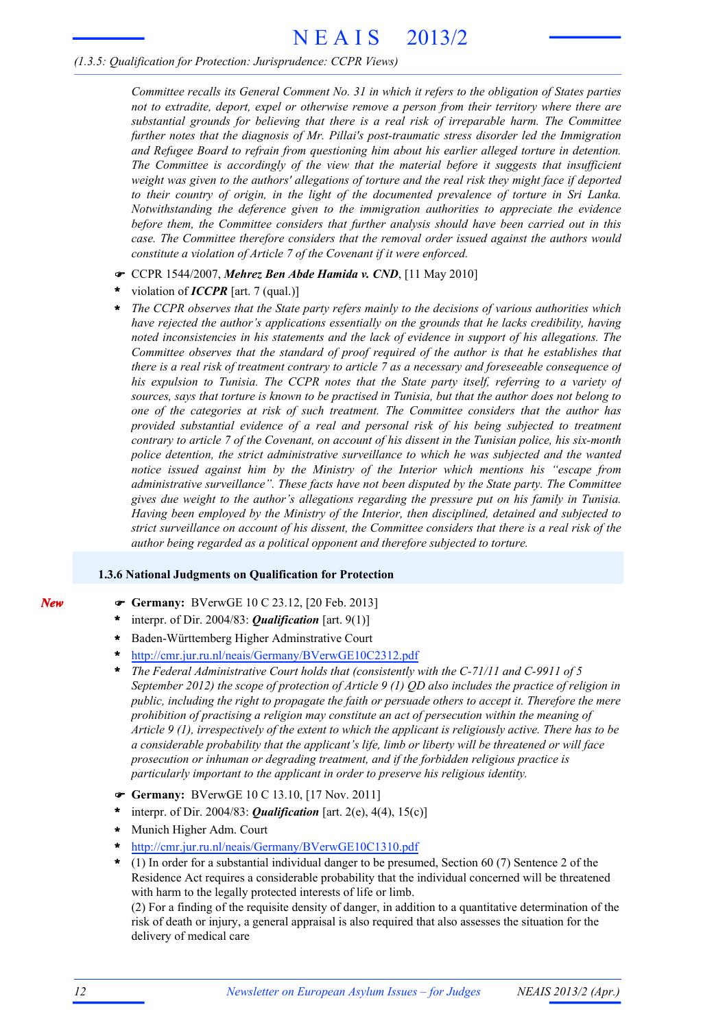#### *(1.3.5: Qualification for Protection: Jurisprudence: CCPR Views)*

*Committee recalls its General Comment No. 31 in which it refers to the obligation of States parties not to extradite, deport, expel or otherwise remove a person from their territory where there are substantial grounds for believing that there is a real risk of irreparable harm. The Committee further notes that the diagnosis of Mr. Pillai's post-traumatic stress disorder led the Immigration and Refugee Board to refrain from questioning him about his earlier alleged torture in detention. The Committee is accordingly of the view that the material before it suggests that insufficient* weight was given to the authors' allegations of torture and the real risk they might face if deported *to their country of origin, in the light of the documented prevalence of torture in Sri Lanka. Notwithstanding the deference given to the immigration authorities to appreciate the evidence before them, the Committee considers that further analysis should have been carried out in this case. The Committee therefore considers that the removal order issued against the authors would constitute a violation of Article 7 of the Covenant if it were enforced.*

- ! CCPR 1544/2007, *Mehrez Ben Abde Hamida v. CND*, [11 May 2010]
- violation of *ICCPR* [art. 7 (qual.)] **\***
- *The CCPR observes that the State party refers mainly to the decisions of various authorities which have rejected the author's applications essentially on the grounds that he lacks credibility, having noted inconsistencies in his statements and the lack of evidence in support of his allegations. The Committee observes that the standard of proof required of the author is that he establishes that* there is a real risk of treatment contrary to article 7 as a necessary and foreseeable consequence of *his expulsion to Tunisia. The CCPR notes that the State party itself, referring to a variety of* sources, says that torture is known to be practised in Tunisia, but that the author does not belong to *one of the categories at risk of such treatment. The Committee considers that the author has provided substantial evidence of a real and personal risk of his being subjected to treatment* contrary to article 7 of the Covenant, on account of his dissent in the Tunisian police, his six-month *police detention, the strict administrative surveillance to which he was subjected and the wanted notice issued against him by the Ministry of the Interior which mentions his "escape from administrative surveillance". These facts have not been disputed by the State party. The Committee gives due weight to the author's allegations regarding the pressure put on his family in Tunisia. Having been employed by the Ministry of the Interior, then disciplined, detained and subjected to* strict surveillance on account of his dissent, the Committee considers that there is a real risk of the *author being regarded as a political opponent and therefore subjected to torture.* **\***

#### **1.3.6 National Judgments on Qualification for Protection**

- ! **Germany:** BVerwGE 10 C 23.12, [20 Feb. 2013]
- interpr. of Dir. 2004/83: *Qualification* [art. 9(1)] **\***
- Baden-Württemberg Higher Adminstrative Court **\***
- http://cmr.jur.ru.nl/neais/Germany/BVerwGE10C2312.pdf **\***
- *The Federal Administrative Court holds that (consistently with the C-71/11 and C-9911 of 5 September 2012) the scope of protection of Article 9 (1) QD also includes the practice of religion in public, including the right to propagate the faith or persuade others to accept it. Therefore the mere prohibition of practising a religion may constitute an act of persecution within the meaning of Article 9 (1), irrespectively of the extent to which the applicant is religiously active. There has to be a considerable probability that the applicant's life, limb or liberty will be threatened or will face prosecution or inhuman or degrading treatment, and if the forbidden religious practice is particularly important to the applicant in order to preserve his religious identity.* **\***
- ! **Germany:** BVerwGE 10 C 13.10, [17 Nov. 2011]
- interpr. of Dir. 2004/83: *Qualification* [art. 2(e), 4(4), 15(c)] **\***
- Munich Higher Adm. Court **\***
- http://cmr.jur.ru.nl/neais/Germany/BVerwGE10C1310.pdf **\***
- (1) In order for a substantial individual danger to be presumed, Section 60 (7) Sentence 2 of the Residence Act requires a considerable probability that the individual concerned will be threatened with harm to the legally protected interests of life or limb. **\***

(2) For a finding of the requisite density of danger, in addition to a quantitative determination of the risk of death or injury, a general appraisal is also required that also assesses the situation for the delivery of medical care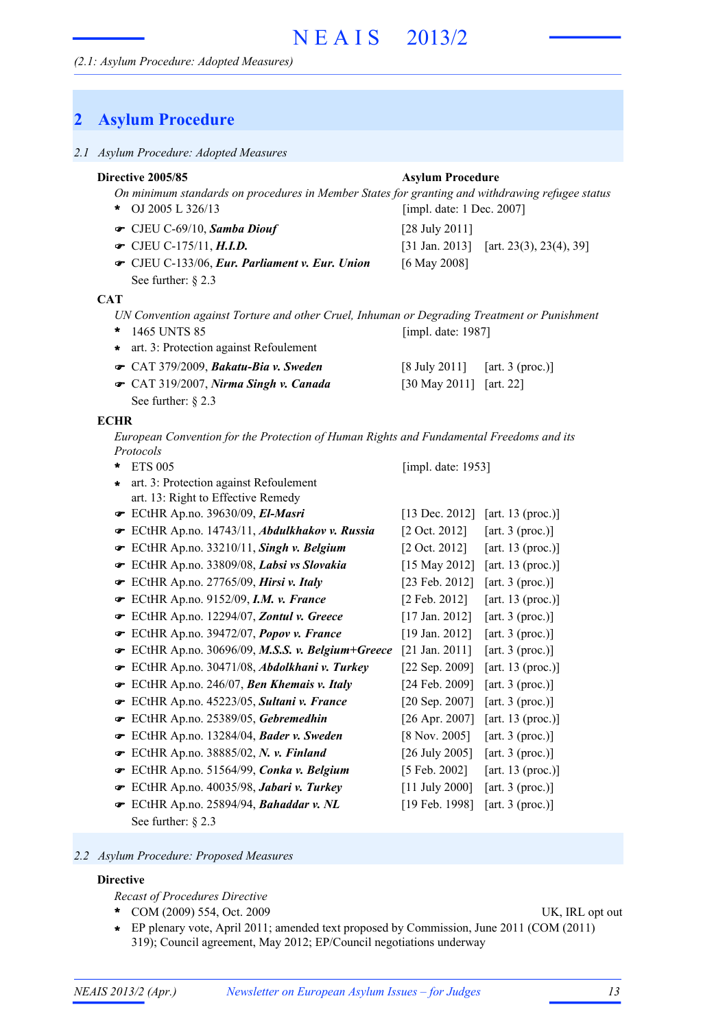### **2 Asylum Procedure**

|  | 2.1 Asylum Procedure: Adopted Measures |  |
|--|----------------------------------------|--|
|  |                                        |  |

#### *On minimum standards on procedures in Member States for granting and withdrawing refugee status* OJ 2005 L 326/13 **\*** CJEU C-69/10, *Samba Diouf* [28 July 2011] ! [31 Jan. 2013] [art. 23(3), 23(4), 39] CJEU C-133/06, *Eur. Parliament v. Eur. Union* [6 May 2008] ! See further: § 2.3 **Directive 2005/85 Asylum Procedure** [impl. date: 1 Dec. 2007]  $\bullet$  CJEU C-175/11, *H.I.D. UN Convention against Torture and other Cruel, Inhuman or Degrading Treatment or Punishment* 1465 UNTS 85 **\*** CAT 379/2009, *Bakatu-Bia v. Sweden* [8 July 2011] [art. 3 (proc.)] ! CAT 319/2007, *Nirma Singh v. Canada* [30 May 2011] [art. 22] ! See further:  $\S$  2.3 [impl. date: 1987] **\*** art. 3: Protection against Refoulement **CAT** *European Convention for the Protection of Human Rights and Fundamental Freedoms and its Protocols* ETS 005 **\*** ECtHR Ap.no. 39630/09, *El-Masri* [13 Dec. 2012] [art. 13 (proc.)] ! ECtHR Ap.no. 14743/11, *Abdulkhakov v. Russia* [2 Oct. 2012] [art. 3 (proc.)] ! ECtHR Ap.no. 33210/11, *Singh v. Belgium* [2 Oct. 2012] [art. 13 (proc.)] ! [impl. date: 1953] art. 3: Protection against Refoulement **\*** art. 13: Right to Effective Remedy **ECHR**

- ECtHR Ap.no. 33809/08, *Labsi vs Slovakia* [15 May 2012] [art. 13 (proc.)] !
- **■** ECtHR Ap.no. 27765/09, *Hirsi v. Italy* [23 Feb. 2012] [art. 3 (proc.)]
- ECtHR Ap.no. 9152/09, *I.M. v. France* [2 Feb. 2012] [art. 13 (proc.)] !
- **■** ECtHR Ap.no. 12294/07, **Zontul v. Greece** [17 Jan. 2012] [art. 3 (proc.)]
- ECtHR Ap.no. 39472/07, *Popov v. France* [19 Jan. 2012] [art. 3 (proc.)] !
- ECtHR Ap.no. 30696/09, *M.S.S. v. Belgium+Greece* [21 Jan. 2011] [art. 3 (proc.)] !
- ECtHR Ap.no. 30471/08, *Abdolkhani v. Turkey* [22 Sep. 2009] [art. 13 (proc.)] !
- ECtHR Ap.no. 246/07, *Ben Khemais v. Italy* [24 Feb. 2009] [art. 3 (proc.)] !
- ECtHR Ap.no. 45223/05, *Sultani v. France* [20 Sep. 2007] [art. 3 (proc.)] !
- ECtHR Ap.no. 25389/05, *Gebremedhin* [26 Apr. 2007] [art. 13 (proc.)] !
- ECtHR Ap.no. 13284/04, *Bader v. Sweden* [8 Nov. 2005] [art. 3 (proc.)] !
- **■** ECtHR Ap.no. 38885/02, *N. v. Finland* [26 July 2005] [art. 3 (proc.)]
- ECtHR Ap.no. 51564/99, *Conka v. Belgium* [5 Feb. 2002] [art. 13 (proc.)] !
- ECtHR Ap.no. 40035/98, *Jabari v. Turkey* [11 July 2000] [art. 3 (proc.)] !
- **■** ECtHR Ap.no. 25894/94, *Bahaddar v. NL* [19 Feb. 1998] [art. 3 (proc.)] See further: § 2.3

#### *2.2 Asylum Procedure: Proposed Measures*

#### **Directive**

- *Recast of Procedures Directive*
- COM (2009) 554, Oct. 2009 UK, IRL opt out **\***

EP plenary vote, April 2011; amended text proposed by Commission, June 2011 (COM (2011) **\*** 319); Council agreement, May 2012; EP/Council negotiations underway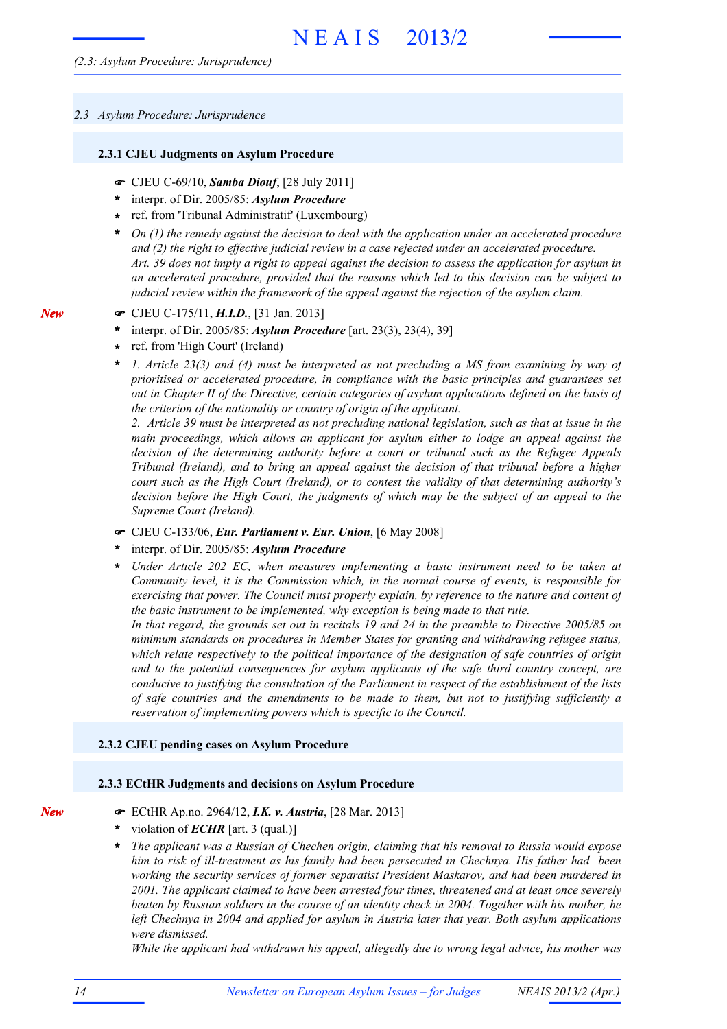#### *2.3 Asylum Procedure: Jurisprudence*

#### **2.3.1 CJEU Judgments on Asylum Procedure**

- ! CJEU C-69/10, *Samba Diouf*, [28 July 2011]
- interpr. of Dir. 2005/85: *Asylum Procedure* **\***
- ref. from 'Tribunal Administratif' (Luxembourg) **\***
- *On (1) the remedy against the decision to deal with the application under an accelerated procedure* **\*** *and (2) the right to effective judicial review in a case rejected under an accelerated procedure.* Art. 39 does not imply a right to appeal against the decision to assess the application for asylum in *an accelerated procedure, provided that the reasons which led to this decision can be subject to judicial review within the framework of the appeal against the rejection of the asylum claim.*
- ! CJEU C-175/11, *H.I.D.*, [31 Jan. 2013]
- interpr. of Dir. 2005/85: *Asylum Procedure* [art. 23(3), 23(4), 39] **\***
- ref. from 'High Court' (Ireland) **\***
- *1. Article 23(3) and (4) must be interpreted as not precluding a MS from examining by way of prioritised or accelerated procedure, in compliance with the basic principles and guarantees set out in Chapter II of the Directive, certain categories of asylum applications defined on the basis of the criterion of the nationality or country of origin of the applicant.* **\***

2. Article 39 must be interpreted as not precluding national legislation, such as that at issue in the *main proceedings, which allows an applicant for asylum either to lodge an appeal against the decision of the determining authority before a court or tribunal such as the Refugee Appeals Tribunal (Ireland), and to bring an appeal against the decision of that tribunal before a higher court such as the High Court (Ireland), or to contest the validity of that determining authority's decision before the High Court, the judgments of which may be the subject of an appeal to the Supreme Court (Ireland).*

- ! CJEU C-133/06, *Eur. Parliament v. Eur. Union*, [6 May 2008]
- interpr. of Dir. 2005/85: *Asylum Procedure* **\***
- *Under Article 202 EC, when measures implementing a basic instrument need to be taken at Community level, it is the Commission which, in the normal course of events, is responsible for exercising that power. The Council must properly explain, by reference to the nature and content of the basic instrument to be implemented, why exception is being made to that rule.* **\***

In that regard, the grounds set out in recitals 19 and 24 in the preamble to Directive 2005/85 on *minimum standards on procedures in Member States for granting and withdrawing refugee status, which relate respectively to the political importance of the designation of safe countries of origin and to the potential consequences for asylum applicants of the safe third country concept, are conducive to justifying the consultation of the Parliament in respect of the establishment of the lists of safe countries and the amendments to be made to them, but not to justifying sufficiently a reservation of implementing powers which is specific to the Council.*

#### **2.3.2 CJEU pending cases on Asylum Procedure**

#### **2.3.3 ECtHR Judgments and decisions on Asylum Procedure**

- ! ECtHR Ap.no. 2964/12, *I.K. v. Austria*, [28 Mar. 2013]
- violation of *ECHR* [art. 3 (qual.)] **\***
- *The applicant was a Russian of Chechen origin, claiming that his removal to Russia would expose him to risk of ill-treatment as his family had been persecuted in Chechnya. His father had been working the security services of former separatist President Maskarov, and had been murdered in 2001. The applicant claimed to have been arrested four times, threatened and at least once severely* beaten by Russian soldiers in the course of an identity check in 2004. Together with his mother, he *left Chechnya in 2004 and applied for asylum in Austria later that year. Both asylum applications were dismissed.* **\***

*While the applicant had withdrawn his appeal, allegedly due to wrong legal advice, his mother was*

*New*

*New*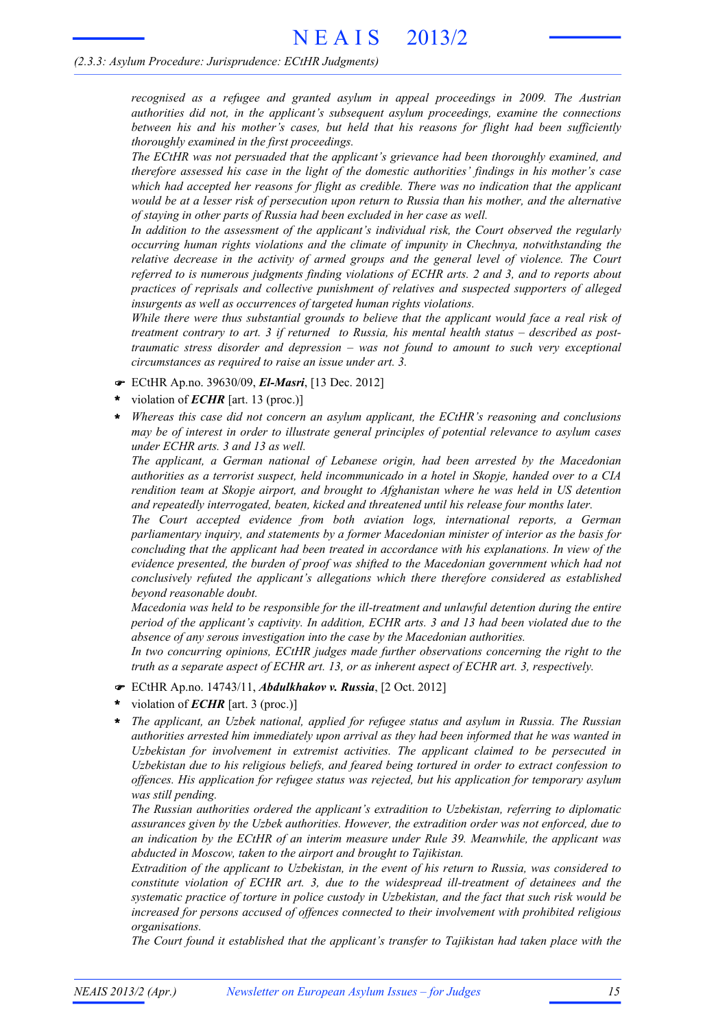#### *(2.3.3: Asylum Procedure: Jurisprudence: ECtHR Judgments)*

*recognised as a refugee and granted asylum in appeal proceedings in 2009. The Austrian authorities did not, in the applicant's subsequent asylum proceedings, examine the connections between his and his mother's cases, but held that his reasons for flight had been sufficiently thoroughly examined in the first proceedings.*

*The ECtHR was not persuaded that the applicant's grievance had been thoroughly examined, and therefore assessed his case in the light of the domestic authorities' findings in his mother's case which had accepted her reasons for flight as credible. There was no indication that the applicant* would be at a lesser risk of persecution upon return to Russia than his mother, and the alternative *of staying in other parts of Russia had been excluded in her case as well.*

*In addition to the assessment of the applicant's individual risk, the Court observed the regularly occurring human rights violations and the climate of impunity in Chechnya, notwithstanding the relative decrease in the activity of armed groups and the general level of violence. The Court referred to is numerous judgments finding violations of ECHR arts. 2 and 3, and to reports about practices of reprisals and collective punishment of relatives and suspected supporters of alleged insurgents as well as occurrences of targeted human rights violations.*

*While there were thus substantial grounds to believe that the applicant would face a real risk of treatment contrary to art. 3 if returned to Russia, his mental health status – described as posttraumatic stress disorder and depression – was not found to amount to such very exceptional circumstances as required to raise an issue under art. 3.*

- ! ECtHR Ap.no. 39630/09, *El-Masri*, [13 Dec. 2012]
- violation of *ECHR* [art. 13 (proc.)] **\***
- *Whereas this case did not concern an asylum applicant, the ECtHR's reasoning and conclusions may be of interest in order to illustrate general principles of potential relevance to asylum cases under ECHR arts. 3 and 13 as well.* **\***

*The applicant, a German national of Lebanese origin, had been arrested by the Macedonian authorities as a terrorist suspect, held incommunicado in a hotel in Skopje, handed over to a CIA rendition team at Skopje airport, and brought to Afghanistan where he was held in US detention and repeatedly interrogated, beaten, kicked and threatened until his release four months later.*

*The Court accepted evidence from both aviation logs, international reports, a German parliamentary inquiry, and statements by a former Macedonian minister of interior as the basis for concluding that the applicant had been treated in accordance with his explanations. In view of the evidence presented, the burden of proof was shifted to the Macedonian government which had not conclusively refuted the applicant's allegations which there therefore considered as established beyond reasonable doubt.*

*Macedonia was held to be responsible for the ill-treatment and unlawful detention during the entire period of the applicant's captivity. In addition, ECHR arts. 3 and 13 had been violated due to the absence of any serous investigation into the case by the Macedonian authorities.*

*In two concurring opinions, ECtHR judges made further observations concerning the right to the truth as a separate aspect of ECHR art. 13, or as inherent aspect of ECHR art. 3, respectively.*

- ! ECtHR Ap.no. 14743/11, *Abdulkhakov v. Russia*, [2 Oct. 2012]
- violation of *ECHR* [art. 3 (proc.)] **\***
- *The applicant, an Uzbek national, applied for refugee status and asylum in Russia. The Russian authorities arrested him immediately upon arrival as they had been informed that he was wanted in Uzbekistan for involvement in extremist activities. The applicant claimed to be persecuted in Uzbekistan due to his religious beliefs, and feared being tortured in order to extract confession to offences. His application for refugee status was rejected, but his application for temporary asylum was still pending.* **\***

*The Russian authorities ordered the applicant's extradition to Uzbekistan, referring to diplomatic assurances given by the Uzbek authorities. However, the extradition order was not enforced, due to an indication by the ECtHR of an interim measure under Rule 39. Meanwhile, the applicant was abducted in Moscow, taken to the airport and brought to Tajikistan.*

*Extradition of the applicant to Uzbekistan, in the event of his return to Russia, was considered to constitute violation of ECHR art. 3, due to the widespread ill-treatment of detainees and the systematic practice of torture in police custody in Uzbekistan, and the fact that such risk would be increased for persons accused of offences connected to their involvement with prohibited religious organisations.*

*The Court found it established that the applicant's transfer to Tajikistan had taken place with the*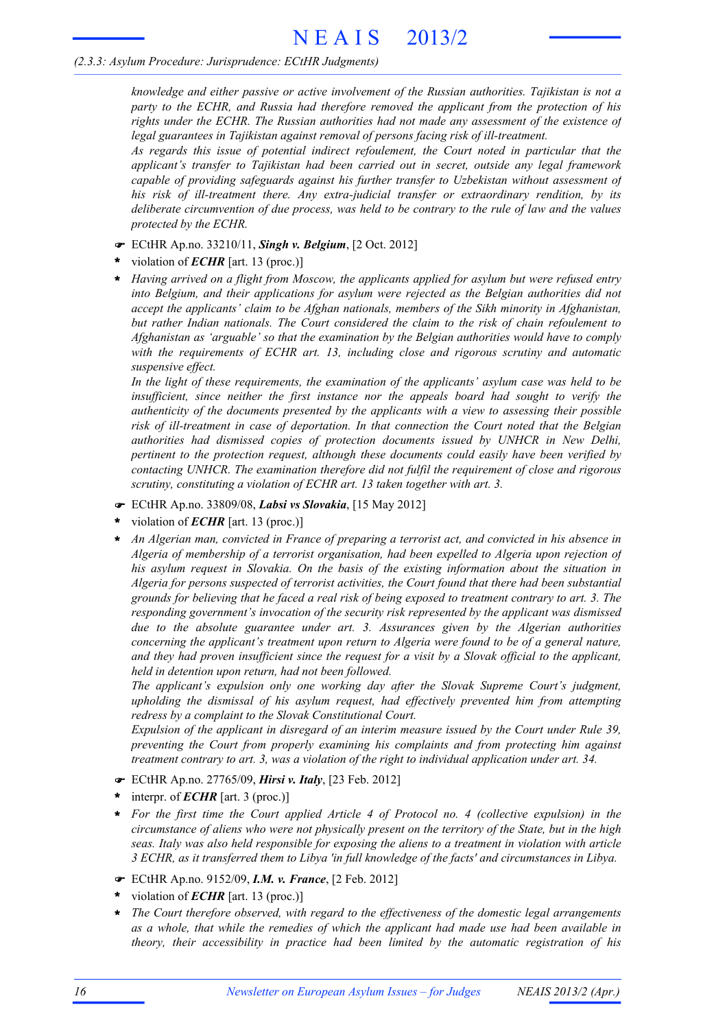#### *(2.3.3: Asylum Procedure: Jurisprudence: ECtHR Judgments)*

*knowledge and either passive or active involvement of the Russian authorities. Tajikistan is not a party to the ECHR, and Russia had therefore removed the applicant from the protection of his rights under the ECHR. The Russian authorities had not made any assessment of the existence of legal guarantees in Tajikistan against removal of persons facing risk of ill-treatment.*

*As regards this issue of potential indirect refoulement, the Court noted in particular that the applicant's transfer to Tajikistan had been carried out in secret, outside any legal framework capable of providing safeguards against his further transfer to Uzbekistan without assessment of his risk of ill-treatment there. Any extra-judicial transfer or extraordinary rendition, by its deliberate circumvention of due process, was held to be contrary to the rule of law and the values protected by the ECHR.*

- ! ECtHR Ap.no. 33210/11, *Singh v. Belgium*, [2 Oct. 2012]
- violation of *ECHR* [art. 13 (proc.)] **\***
- *Having arrived on a flight from Moscow, the applicants applied for asylum but were refused entry into Belgium, and their applications for asylum were rejected as the Belgian authorities did not accept the applicants' claim to be Afghan nationals, members of the Sikh minority in Afghanistan, but rather Indian nationals. The Court considered the claim to the risk of chain refoulement to Afghanistan as 'arguable' so that the examination by the Belgian authorities would have to comply with the requirements of ECHR art. 13, including close and rigorous scrutiny and automatic suspensive effect.* **\***

*In the light of these requirements, the examination of the applicants' asylum case was held to be insufficient, since neither the first instance nor the appeals board had sought to verify the authenticity of the documents presented by the applicants with a view to assessing their possible risk of ill-treatment in case of deportation. In that connection the Court noted that the Belgian authorities had dismissed copies of protection documents issued by UNHCR in New Delhi, pertinent to the protection request, although these documents could easily have been verified by contacting UNHCR. The examination therefore did not fulfil the requirement of close and rigorous scrutiny, constituting a violation of ECHR art. 13 taken together with art. 3.*

- ! ECtHR Ap.no. 33809/08, *Labsi vs Slovakia*, [15 May 2012]
- violation of *ECHR* [art. 13 (proc.)] **\***
- *An Algerian man, convicted in France of preparing a terrorist act, and convicted in his absence in Algeria of membership of a terrorist organisation, had been expelled to Algeria upon rejection of his asylum request in Slovakia. On the basis of the existing information about the situation in Algeria for persons suspected of terrorist activities, the Court found that there had been substantial* grounds for believing that he faced a real risk of being exposed to treatment contrary to art. 3. The *responding government's invocation of the security risk represented by the applicant was dismissed due to the absolute guarantee under art. 3. Assurances given by the Algerian authorities concerning the applicant's treatment upon return to Algeria were found to be of a general nature,* and they had proven insufficient since the request for a visit by a Slovak official to the applicant, *held in detention upon return, had not been followed.* **\***

*The applicant's expulsion only one working day after the Slovak Supreme Court's judgment, upholding the dismissal of his asylum request, had effectively prevented him from attempting redress by a complaint to the Slovak Constitutional Court.*

*Expulsion of the applicant in disregard of an interim measure issued by the Court under Rule 39, preventing the Court from properly examining his complaints and from protecting him against treatment contrary to art. 3, was a violation of the right to individual application under art. 34.*

- ! ECtHR Ap.no. 27765/09, *Hirsi v. Italy*, [23 Feb. 2012]
- interpr. of *ECHR* [art. 3 (proc.)] **\***
- *For the first time the Court applied Article 4 of Protocol no. 4 (collective expulsion) in the* circumstance of aliens who were not physically present on the territory of the State, but in the high *seas. Italy was also held responsible for exposing the aliens to a treatment in violation with article 3 ECHR, as it transferred them to Libya 'in full knowledge of the facts' and circumstances in Libya.* **\***
- ! ECtHR Ap.no. 9152/09, *I.M. v. France*, [2 Feb. 2012]
- violation of *ECHR* [art. 13 (proc.)] **\***
- *The Court therefore observed, with regard to the effectiveness of the domestic legal arrangements as a whole, that while the remedies of which the applicant had made use had been available in theory, their accessibility in practice had been limited by the automatic registration of his* **\***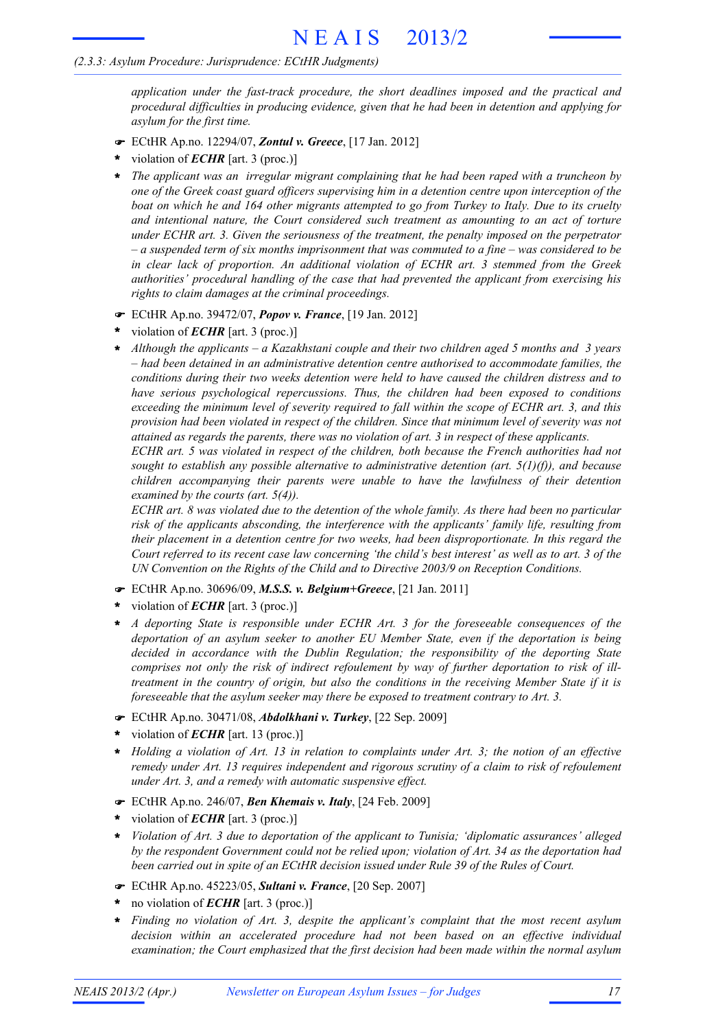#### *(2.3.3: Asylum Procedure: Jurisprudence: ECtHR Judgments)*

*application under the fast-track procedure, the short deadlines imposed and the practical and procedural difficulties in producing evidence, given that he had been in detention and applying for asylum for the first time.*

- ! ECtHR Ap.no. 12294/07, *Zontul v. Greece*, [17 Jan. 2012]
- violation of *ECHR* [art. 3 (proc.)] **\***
- *The applicant was an irregular migrant complaining that he had been raped with a truncheon by* **\*** *one of the Greek coast guard officers supervising him in a detention centre upon interception of the* boat on which he and 164 other migrants attempted to go from Turkey to Italy. Due to its cruelty *and intentional nature, the Court considered such treatment as amounting to an act of torture under ECHR art. 3. Given the seriousness of the treatment, the penalty imposed on the perpetrator*  $-a$  suspended term of six months imprisonment that was commuted to a fine – was considered to be *in clear lack of proportion. An additional violation of ECHR art. 3 stemmed from the Greek authorities' procedural handling of the case that had prevented the applicant from exercising his rights to claim damages at the criminal proceedings.*
- ! ECtHR Ap.no. 39472/07, *Popov v. France*, [19 Jan. 2012]
- violation of *ECHR* [art. 3 (proc.)] **\***
- *Although the applicants – a Kazakhstani couple and their two children aged 5 months and 3 years – had been detained in an administrative detention centre authorised to accommodate families, the conditions during their two weeks detention were held to have caused the children distress and to have serious psychological repercussions. Thus, the children had been exposed to conditions exceeding the minimum level of severity required to fall within the scope of ECHR art. 3, and this provision had been violated in respect of the children. Since that minimum level of severity was not attained as regards the parents, there was no violation of art. 3 in respect of these applicants.* **\***

*ECHR art. 5 was violated in respect of the children, both because the French authorities had not sought to establish any possible alternative to administrative detention (art. 5(1)(f)), and because children accompanying their parents were unable to have the lawfulness of their detention examined by the courts (art. 5(4)).*

ECHR art. 8 was violated due to the detention of the whole family. As there had been no particular *risk of the applicants absconding, the interference with the applicants' family life, resulting from their placement in a detention centre for two weeks, had been disproportionate. In this regard the* Court referred to its recent case law concerning 'the child's best interest' as well as to art. 3 of the *UN Convention on the Rights of the Child and to Directive 2003/9 on Reception Conditions.*

- ! ECtHR Ap.no. 30696/09, *M.S.S. v. Belgium+Greece*, [21 Jan. 2011]
- violation of *ECHR* [art. 3 (proc.)] **\***
- *A deporting State is responsible under ECHR Art. 3 for the foreseeable consequences of the deportation of an asylum seeker to another EU Member State, even if the deportation is being decided in accordance with the Dublin Regulation; the responsibility of the deporting State comprises not only the risk of indirect refoulement by way of further deportation to risk of illtreatment in the country of origin, but also the conditions in the receiving Member State if it is foreseeable that the asylum seeker may there be exposed to treatment contrary to Art. 3.* **\***
- ! ECtHR Ap.no. 30471/08, *Abdolkhani v. Turkey*, [22 Sep. 2009]
- violation of *ECHR* [art. 13 (proc.)] **\***
- \* Holding a violation of Art. 13 in relation to complaints under Art. 3; the notion of an effective *remedy under Art. 13 requires independent and rigorous scrutiny of a claim to risk of refoulement under Art. 3, and a remedy with automatic suspensive effect.*
- ! ECtHR Ap.no. 246/07, *Ben Khemais v. Italy*, [24 Feb. 2009]
- \* violation of *ECHR* [art. 3 (proc.)]
- *Violation of Art. 3 due to deportation of the applicant to Tunisia; 'diplomatic assurances' alleged by the respondent Government could not be relied upon; violation of Art. 34 as the deportation had been carried out in spite of an ECtHR decision issued under Rule 39 of the Rules of Court.* **\***
- ! ECtHR Ap.no. 45223/05, *Sultani v. France*, [20 Sep. 2007]
- \* no violation of *ECHR* [art. 3 (proc.)]
- *Finding no violation of Art. 3, despite the applicant's complaint that the most recent asylum* **\*** *decision within an accelerated procedure had not been based on an effective individual examination; the Court emphasized that the first decision had been made within the normal asylum*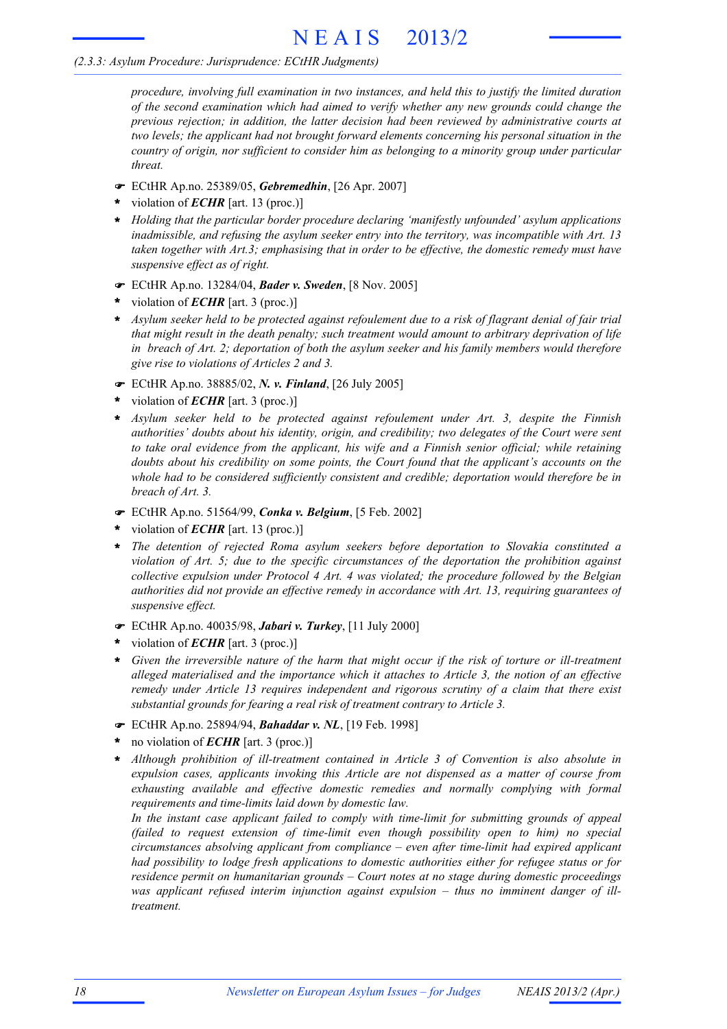#### *(2.3.3: Asylum Procedure: Jurisprudence: ECtHR Judgments)*

*procedure, involving full examination in two instances, and held this to justify the limited duration of the second examination which had aimed to verify whether any new grounds could change the previous rejection; in addition, the latter decision had been reviewed by administrative courts at two levels; the applicant had not brought forward elements concerning his personal situation in the country of origin, nor sufficient to consider him as belonging to a minority group under particular threat.*

- ! ECtHR Ap.no. 25389/05, *Gebremedhin*, [26 Apr. 2007]
- violation of *ECHR* [art. 13 (proc.)] **\***
- *Holding that the particular border procedure declaring 'manifestly unfounded' asylum applications* **\*** *inadmissible, and refusing the asylum seeker entry into the territory, was incompatible with Art. 13 taken together with Art.3; emphasising that in order to be effective, the domestic remedy must have suspensive effect as of right.*
- ! ECtHR Ap.no. 13284/04, *Bader v. Sweden*, [8 Nov. 2005]
- violation of *ECHR* [art. 3 (proc.)] **\***
- Asylum seeker held to be protected against refoulement due to a risk of flagrant denial of fair trial *that might result in the death penalty; such treatment would amount to arbitrary deprivation of life in breach of Art. 2; deportation of both the asylum seeker and his family members would therefore give rise to violations of Articles 2 and 3.* **\***
- ! ECtHR Ap.no. 38885/02, *N. v. Finland*, [26 July 2005]
- violation of *ECHR* [art. 3 (proc.)] **\***
- *Asylum seeker held to be protected against refoulement under Art. 3, despite the Finnish authorities' doubts about his identity, origin, and credibility; two delegates of the Court were sent to take oral evidence from the applicant, his wife and a Finnish senior official; while retaining doubts about his credibility on some points, the Court found that the applicant's accounts on the whole had to be considered sufficiently consistent and credible; deportation would therefore be in breach of Art. 3.* **\***
- ! ECtHR Ap.no. 51564/99, *Conka v. Belgium*, [5 Feb. 2002]
- violation of *ECHR* [art. 13 (proc.)] **\***
- *The detention of rejected Roma asylum seekers before deportation to Slovakia constituted a violation of Art. 5; due to the specific circumstances of the deportation the prohibition against collective expulsion under Protocol 4 Art. 4 was violated; the procedure followed by the Belgian authorities did not provide an effective remedy in accordance with Art. 13, requiring guarantees of suspensive effect.* **\***
- ! ECtHR Ap.no. 40035/98, *Jabari v. Turkey*, [11 July 2000]
- violation of *ECHR* [art. 3 (proc.)] **\***
- *Given the irreversible nature of the harm that might occur if the risk of torture or ill-treatment alleged materialised and the importance which it attaches to Article 3, the notion of an effective remedy under Article 13 requires independent and rigorous scrutiny of a claim that there exist substantial grounds for fearing a real risk of treatment contrary to Article 3.* **\***
- ! ECtHR Ap.no. 25894/94, *Bahaddar v. NL*, [19 Feb. 1998]
- no violation of *ECHR* [art. 3 (proc.)] **\***
- *Although prohibition of ill-treatment contained in Article 3 of Convention is also absolute in expulsion cases, applicants invoking this Article are not dispensed as a matter of course from exhausting available and effective domestic remedies and normally complying with formal requirements and time-limits laid down by domestic law.* **\***

*In the instant case applicant failed to comply with time-limit for submitting grounds of appeal (failed to request extension of time-limit even though possibility open to him) no special circumstances absolving applicant from compliance – even after time-limit had expired applicant had possibility to lodge fresh applications to domestic authorities either for refugee status or for residence permit on humanitarian grounds – Court notes at no stage during domestic proceedings was applicant refused interim injunction against expulsion – thus no imminent danger of illtreatment.*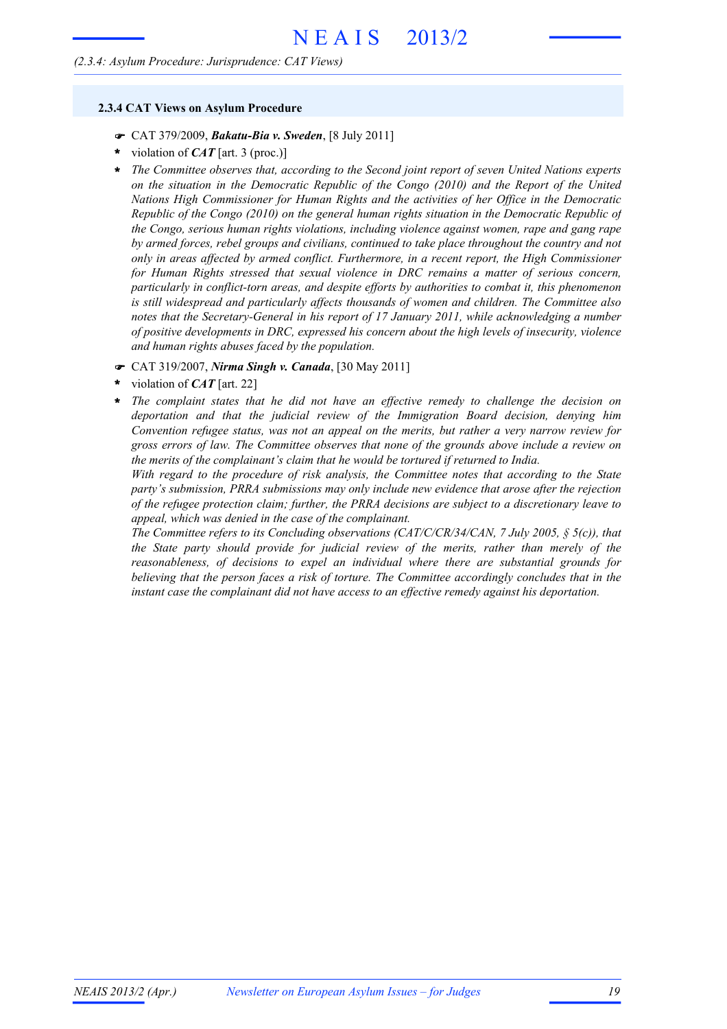#### *(2.3.4: Asylum Procedure: Jurisprudence: CAT Views)*

#### **2.3.4 CAT Views on Asylum Procedure**

- ! CAT 379/2009, *Bakatu-Bia v. Sweden*, [8 July 2011]
- violation of *CAT* [art. 3 (proc.)] **\***
- *The Committee observes that, according to the Second joint report of seven United Nations experts on the situation in the Democratic Republic of the Congo (2010) and the Report of the United Nations High Commissioner for Human Rights and the activities of her Office in the Democratic Republic of the Congo (2010) on the general human rights situation in the Democratic Republic of the Congo, serious human rights violations, including violence against women, rape and gang rape by armed forces, rebel groups and civilians, continued to take place throughout the country and not only in areas affected by armed conflict. Furthermore, in a recent report, the High Commissioner for Human Rights stressed that sexual violence in DRC remains a matter of serious concern, particularly in conflict-torn areas, and despite efforts by authorities to combat it, this phenomenon is still widespread and particularly affects thousands of women and children. The Committee also notes that the Secretary-General in his report of 17 January 2011, while acknowledging a number of positive developments in DRC, expressed his concern about the high levels of insecurity, violence and human rights abuses faced by the population.* **\***
- ! CAT 319/2007, *Nirma Singh v. Canada*, [30 May 2011]
- violation of *CAT* [art. 22] **\***
- *The complaint states that he did not have an effective remedy to challenge the decision on deportation and that the judicial review of the Immigration Board decision, denying him Convention refugee status, was not an appeal on the merits, but rather a very narrow review for gross errors of law. The Committee observes that none of the grounds above include a review on the merits of the complainant's claim that he would be tortured if returned to India.* **\***

*With regard to the procedure of risk analysis, the Committee notes that according to the State party's submission, PRRA submissions may only include new evidence that arose after the rejection of the refugee protection claim; further, the PRRA decisions are subject to a discretionary leave to appeal, which was denied in the case of the complainant.*

*The Committee refers to its Concluding observations (CAT/C/CR/34/CAN, 7 July 2005, § 5(c)), that the State party should provide for judicial review of the merits, rather than merely of the reasonableness, of decisions to expel an individual where there are substantial grounds for believing that the person faces a risk of torture. The Committee accordingly concludes that in the instant case the complainant did not have access to an effective remedy against his deportation.*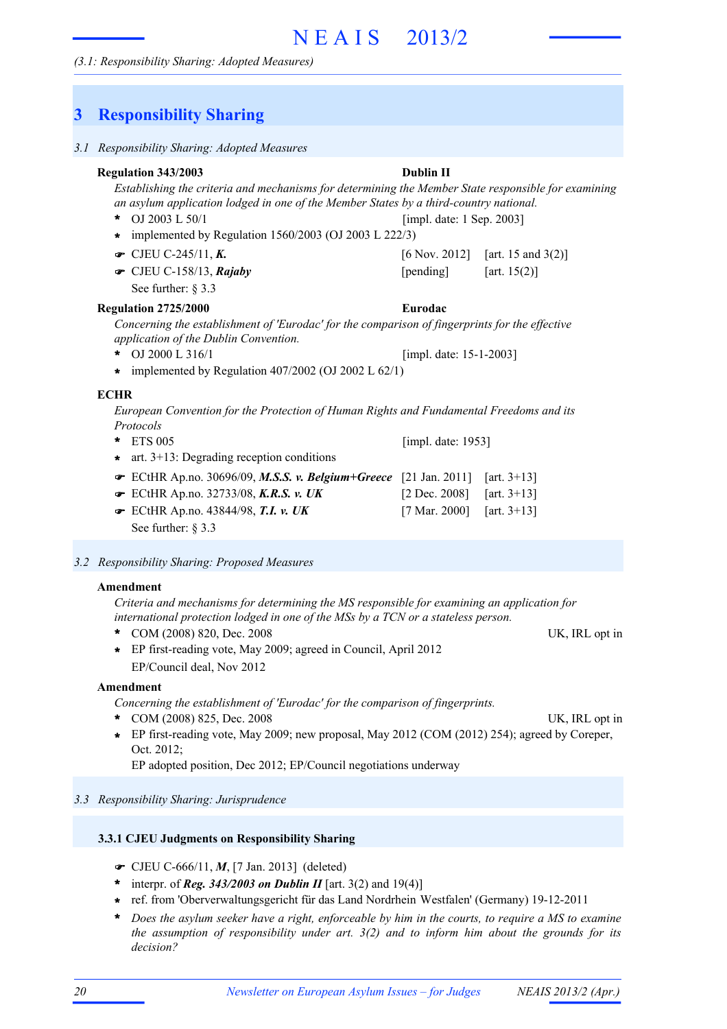#### *(3.1: Responsibility Sharing: Adopted Measures)*

### **3 Responsibility Sharing**

*3.1 Responsibility Sharing: Adopted Measures*

#### *Establishing the criteria and mechanisms for determining the Member State responsible for examining an asylum application lodged in one of the Member States by a third-country national.* OJ 2003 L 50/1 **\* ■** CJEU C-245/11, *K***.** [6 Nov. 2012] [art. 15 and 3(2)] **■** CJEU C-158/13, *Rajaby* [pending] [art. 15(2)] See further: § 3.3 **Regulation 343/2003 Dublin II** [impl. date: 1 Sep. 2003] **\*** implemented by Regulation 1560/2003 (OJ 2003 L 222/3) *Concerning the establishment of 'Eurodac' for the comparison of fingerprints for the effective application of the Dublin Convention.* OJ 2000 L 316/1 **Regulation 2725/2000 Eurodac** [impl. date: 15-1-2003] **\*** implemented by Regulation 407/2002 (OJ 2002 L 62/1) *European Convention for the Protection of Human Rights and Fundamental Freedoms and its Protocols* ETS 005 **\*** ECtHR Ap.no. 30696/09, *M.S.S. v. Belgium+Greece* [21 Jan. 2011] [art. 3+13] ! ECtHR Ap.no. 32733/08, *K.R.S. v. UK* [2 Dec. 2008] [art. 3+13] ! ECtHR Ap.no. 43844/98, *T.I. v. UK* [7 Mar. 2000] [art. 3+13] ! See further: § 3.3 [impl. date: 1953] **\*** art. 3+13: Degrading reception conditions **ECHR**

#### *3.2 Responsibility Sharing: Proposed Measures*

#### **Amendment**

*Criteria and mechanisms for determining the MS responsible for examining an application for international protection lodged in one of the MSs by a TCN or a stateless person.*

\* COM (2008) 820, Dec. 2008 UK, IRL opt in

**\*** EP first-reading vote, May 2009; agreed in Council, April 2012 EP/Council deal, Nov 2012

#### **Amendment**

*Concerning the establishment of 'Eurodac' for the comparison of fingerprints.*

- \* COM (2008) 825, Dec. 2008 UK, IRL opt in
- EP first-reading vote, May 2009; new proposal, May 2012 (COM (2012) 254); agreed by Coreper, **\*** Oct. 2012;

EP adopted position, Dec 2012; EP/Council negotiations underway

#### *3.3 Responsibility Sharing: Jurisprudence*

- ! CJEU C-666/11, *M*, [7 Jan. 2013] (deleted)
- interpr. of *Reg. 343/2003 on Dublin II* [art. 3(2) and 19(4)] **\***
- ref. from 'Oberverwaltungsgericht für das Land Nordrhein Westfalen' (Germany) 19-12-2011 **\***
- \* Does the asylum seeker have a right, enforceable by him in the courts, to require a MS to examine *the assumption of responsibility under art. 3(2) and to inform him about the grounds for its decision?*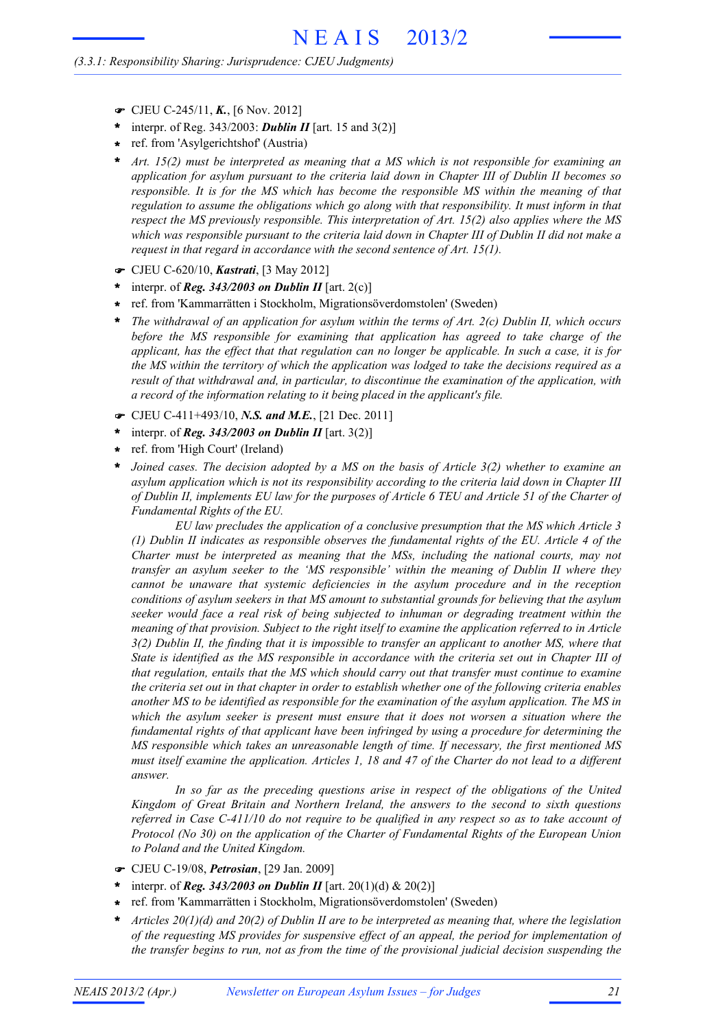#### *(3.3.1: Responsibility Sharing: Jurisprudence: CJEU Judgments)*

- ! CJEU C-245/11, *K.*, [6 Nov. 2012]
- interpr. of Reg. 343/2003: *Dublin II* [art. 15 and 3(2)] **\***
- ref. from 'Asylgerichtshof' (Austria) **\***
- *Art. 15(2) must be interpreted as meaning that a MS which is not responsible for examining an application for asylum pursuant to the criteria laid down in Chapter III of Dublin II becomes so responsible. It is for the MS which has become the responsible MS within the meaning of that regulation to assume the obligations which go along with that responsibility. It must inform in that respect the MS previously responsible. This interpretation of Art. 15(2) also applies where the MS* which was responsible pursuant to the criteria laid down in Chapter III of Dublin II did not make a *request in that regard in accordance with the second sentence of Art. 15(1).* **\***
- ! CJEU C-620/10, *Kastrati*, [3 May 2012]
- interpr. of *Reg.* 343/2003 on Dublin II [art. 2(c)] **\***
- ref. from 'Kammarrätten i Stockholm, Migrationsöverdomstolen' (Sweden) **\***
- *The withdrawal of an application for asylum within the terms of Art. 2(c) Dublin II, which occurs before the MS responsible for examining that application has agreed to take charge of the* applicant, has the effect that that regulation can no longer be applicable. In such a case, it is for the MS within the territory of which the application was lodged to take the decisions required as a *result of that withdrawal and, in particular, to discontinue the examination of the application, with a record of the information relating to it being placed in the applicant's file.* **\***
- ! CJEU C-411+493/10, *N.S. and M.E.*, [21 Dec. 2011]
- interpr. of *Reg. 343/2003 on Dublin II* [art. 3(2)] **\***
- ref. from 'High Court' (Ireland) **\***
- *Joined cases. The decision adopted by a MS on the basis of Article 3(2) whether to examine an asylum application which is not its responsibility according to the criteria laid down in Chapter III* of Dublin II, implements EU law for the purposes of Article 6 TEU and Article 51 of the Charter of *Fundamental Rights of the EU.* **\***

*EU law precludes the application of a conclusive presumption that the MS which Article 3 (1) Dublin II indicates as responsible observes the fundamental rights of the EU. Article 4 of the Charter must be interpreted as meaning that the MSs, including the national courts, may not transfer an asylum seeker to the 'MS responsible' within the meaning of Dublin II where they cannot be unaware that systemic deficiencies in the asylum procedure and in the reception conditions of asylum seekers in that MS amount to substantial grounds for believing that the asylum seeker would face a real risk of being subjected to inhuman or degrading treatment within the meaning of that provision. Subject to the right itself to examine the application referred to in Article*  $3(2)$  Dublin II, the finding that it is impossible to transfer an applicant to another MS, where that State is identified as the MS responsible in accordance with the criteria set out in Chapter III of *that regulation, entails that the MS which should carry out that transfer must continue to examine* the criteria set out in that chapter in order to establish whether one of the following criteria enables *another MS to be identified as responsible for the examination of the asylum application. The MS in which the asylum seeker is present must ensure that it does not worsen a situation where the fundamental rights of that applicant have been infringed by using a procedure for determining the MS responsible which takes an unreasonable length of time. If necessary, the first mentioned MS* must itself examine the application. Articles 1, 18 and 47 of the Charter do not lead to a different *answer.*

*In so far as the preceding questions arise in respect of the obligations of the United Kingdom of Great Britain and Northern Ireland, the answers to the second to sixth questions* referred in Case  $C-411/10$  do not require to be qualified in any respect so as to take account of *Protocol (No 30) on the application of the Charter of Fundamental Rights of the European Union to Poland and the United Kingdom.*

- ! CJEU C-19/08, *Petrosian*, [29 Jan. 2009]
- interpr. of *Reg. 343/2003 on Dublin II* [art. 20(1)(d) & 20(2)] **\***
- ref. from 'Kammarrätten i Stockholm, Migrationsöverdomstolen' (Sweden) **\***
- *Articles 20(1)(d) and 20(2) of Dublin II are to be interpreted as meaning that, where the legislation of the requesting MS provides for suspensive effect of an appeal, the period for implementation of the transfer begins to run, not as from the time of the provisional judicial decision suspending the* **\***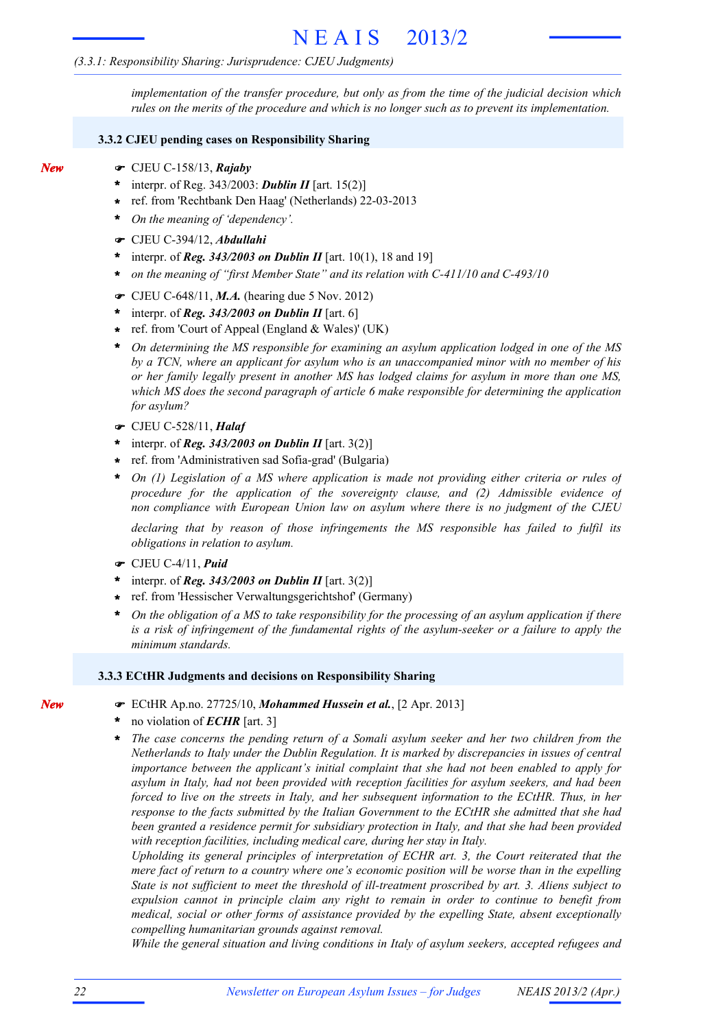#### *(3.3.1: Responsibility Sharing: Jurisprudence: CJEU Judgments)*

*implementation of the transfer procedure, but only as from the time of the judicial decision which rules on the merits of the procedure and which is no longer such as to prevent its implementation.*

#### **3.3.2 CJEU pending cases on Responsibility Sharing**

- *New*
- ! CJEU C-158/13, *Rajaby*
- interpr. of Reg. 343/2003: *Dublin II* [art. 15(2)] **\***
- ref. from 'Rechtbank Den Haag' (Netherlands) 22-03-2013 **\***
- *On the meaning of 'dependency'.* **\***
- ! CJEU C-394/12, *Abdullahi*
- interpr. of *Reg. 343/2003 on Dublin II* [art. 10(1), 18 and 19] **\***
- *on the meaning of "first Member State" and its relation with C-411/10 and C-493/10* **\***
- CJEU C-648/11, *M.A.* (hearing due 5 Nov. 2012)
- interpr. of *Reg. 343/2003 on Dublin II* [art. 6] **\***
- ref. from 'Court of Appeal (England & Wales)' (UK) **\***
- *On determining the MS responsible for examining an asylum application lodged in one of the MS by a TCN, where an applicant for asylum who is an unaccompanied minor with no member of his or her family legally present in another MS has lodged claims for asylum in more than one MS, which MS does the second paragraph of article 6 make responsible for determining the application for asylum?* **\***
- ! CJEU C-528/11, *Halaf*
- interpr. of *Reg. 343/2003 on Dublin II* [art. 3(2)] **\***
- ref. from 'Administrativen sad Sofia-grad' (Bulgaria) **\***
- *On (1) Legislation of a MS where application is made not providing either criteria or rules of procedure for the application of the sovereignty clause, and (2) Admissible evidence of non compliance with European Union law on asylum where there is no judgment of the CJEU* **\***

*declaring that by reason of those infringements the MS responsible has failed to fulfil its obligations in relation to asylum.*

- ! CJEU C-4/11, *Puid*
- interpr. of *Reg. 343/2003 on Dublin II* [art. 3(2)] **\***
- ref. from 'Hessischer Verwaltungsgerichtshof' (Germany) **\***
- On the obligation of a MS to take responsibility for the processing of an asylum application if there *is a risk of infringement of the fundamental rights of the asylum-seeker or a failure to apply the minimum standards.* **\***

#### **3.3.3 ECtHR Judgments and decisions on Responsibility Sharing**

- ! ECtHR Ap.no. 27725/10, *Mohammed Hussein et al.*, [2 Apr. 2013]
- no violation of *ECHR* [art. 3] **\***
- *The case concerns the pending return of a Somali asylum seeker and her two children from the Netherlands to Italy under the Dublin Regulation. It is marked by discrepancies in issues of central importance between the applicant's initial complaint that she had not been enabled to apply for asylum in Italy, had not been provided with reception facilities for asylum seekers, and had been forced to live on the streets in Italy, and her subsequent information to the ECtHR. Thus, in her response to the facts submitted by the Italian Government to the ECtHR she admitted that she had been granted a residence permit for subsidiary protection in Italy, and that she had been provided with reception facilities, including medical care, during her stay in Italy.* **\***

*Upholding its general principles of interpretation of ECHR art. 3, the Court reiterated that the mere fact of return to a country where one's economic position will be worse than in the expelling State is not sufficient to meet the threshold of ill-treatment proscribed by art. 3. Aliens subject to expulsion cannot in principle claim any right to remain in order to continue to benefit from medical, social or other forms of assistance provided by the expelling State, absent exceptionally compelling humanitarian grounds against removal.*

*While the general situation and living conditions in Italy of asylum seekers, accepted refugees and*

*New*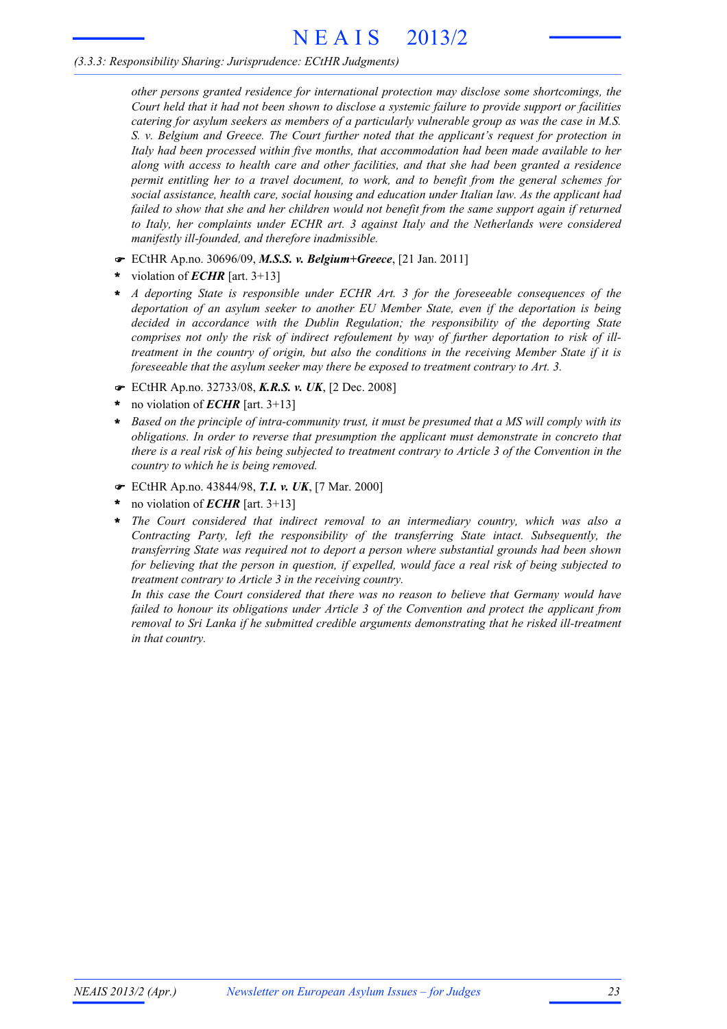#### *(3.3.3: Responsibility Sharing: Jurisprudence: ECtHR Judgments)*

*other persons granted residence for international protection may disclose some shortcomings, the* Court held that it had not been shown to disclose a systemic failure to provide support or facilities *catering for asylum seekers as members of a particularly vulnerable group as was the case in M.S. S. v. Belgium and Greece. The Court further noted that the applicant's request for protection in Italy had been processed within five months, that accommodation had been made available to her along with access to health care and other facilities, and that she had been granted a residence permit entitling her to a travel document, to work, and to benefit from the general schemes for social assistance, health care, social housing and education under Italian law. As the applicant had failed to show that she and her children would not benefit from the same support again if returned to Italy, her complaints under ECHR art. 3 against Italy and the Netherlands were considered manifestly ill-founded, and therefore inadmissible.*

- ! ECtHR Ap.no. 30696/09, *M.S.S. v. Belgium+Greece*, [21 Jan. 2011]
- violation of *ECHR* [art. 3+13] **\***
- *A deporting State is responsible under ECHR Art. 3 for the foreseeable consequences of the deportation of an asylum seeker to another EU Member State, even if the deportation is being decided in accordance with the Dublin Regulation; the responsibility of the deporting State comprises not only the risk of indirect refoulement by way of further deportation to risk of illtreatment in the country of origin, but also the conditions in the receiving Member State if it is foreseeable that the asylum seeker may there be exposed to treatment contrary to Art. 3.* **\***
- ! ECtHR Ap.no. 32733/08, *K.R.S. v. UK*, [2 Dec. 2008]
- no violation of *ECHR* [art. 3+13] **\***
- Based on the principle of intra-community trust, it must be presumed that a MS will comply with its *obligations. In order to reverse that presumption the applicant must demonstrate in concreto that* there is a real risk of his being subjected to treatment contrary to Article 3 of the Convention in the *country to which he is being removed.* **\***
- ! ECtHR Ap.no. 43844/98, *T.I. v. UK*, [7 Mar. 2000]
- no violation of *ECHR* [art. 3+13] **\***
- *The Court considered that indirect removal to an intermediary country, which was also a Contracting Party, left the responsibility of the transferring State intact. Subsequently, the transferring State was required not to deport a person where substantial grounds had been shown* for believing that the person in question, if expelled, would face a real risk of being subjected to *treatment contrary to Article 3 in the receiving country.* **\***

*In this case the Court considered that there was no reason to believe that Germany would have failed to honour its obligations under Article 3 of the Convention and protect the applicant from removal to Sri Lanka if he submitted credible arguments demonstrating that he risked ill-treatment in that country.*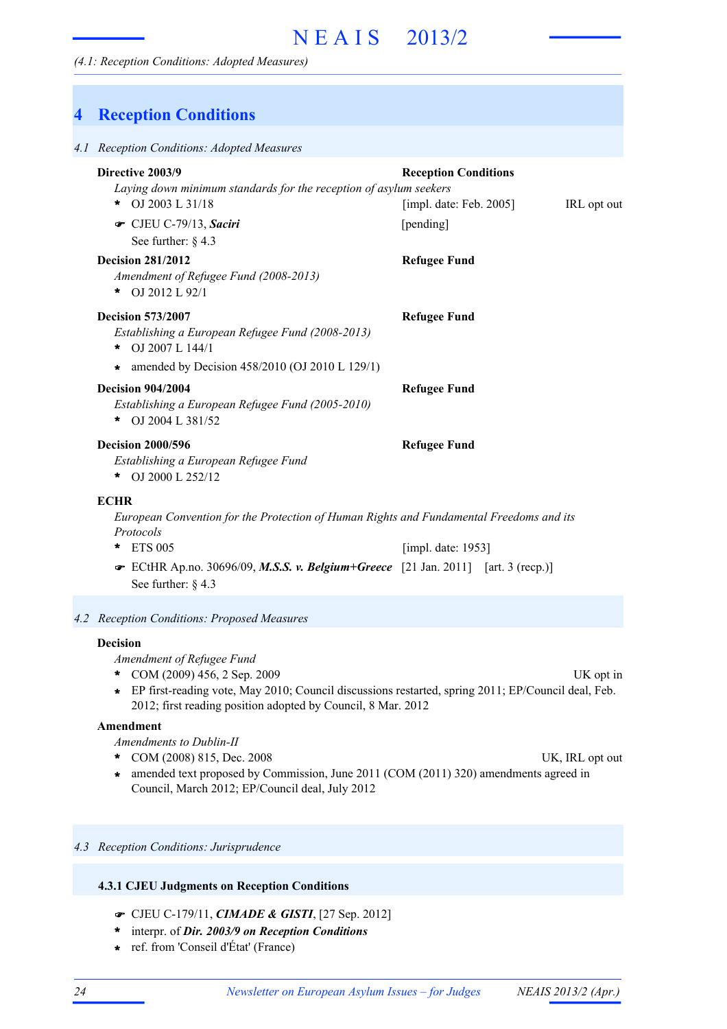*(4.1: Reception Conditions: Adopted Measures)*

| 4 | <b>Reception Conditions</b>                                                                                                                                                                                                                                                     |                                                                        |             |
|---|---------------------------------------------------------------------------------------------------------------------------------------------------------------------------------------------------------------------------------------------------------------------------------|------------------------------------------------------------------------|-------------|
|   | 4.1 Reception Conditions: Adopted Measures                                                                                                                                                                                                                                      |                                                                        |             |
|   | Directive 2003/9<br>Laying down minimum standards for the reception of asylum seekers<br>OJ 2003 L 31/18<br>*<br>CJEU C-79/13, Saciri<br>See further: $§$ 4.3                                                                                                                   | <b>Reception Conditions</b><br>[impl. date: Feb. $2005$ ]<br>[pending] | IRL opt out |
|   | <b>Decision 281/2012</b><br>Amendment of Refugee Fund (2008-2013)<br>OJ 2012 L 92/1<br>*                                                                                                                                                                                        | <b>Refugee Fund</b>                                                    |             |
|   | <b>Decision 573/2007</b><br>Establishing a European Refugee Fund (2008-2013)<br>* OJ 2007 L 144/1                                                                                                                                                                               | <b>Refugee Fund</b>                                                    |             |
|   | amended by Decision 458/2010 (OJ 2010 L 129/1)<br>*.<br><b>Decision 904/2004</b><br>Establishing a European Refugee Fund (2005-2010)<br>* OJ 2004 L 381/52                                                                                                                      | <b>Refugee Fund</b>                                                    |             |
|   | <b>Decision 2000/596</b><br>Establishing a European Refugee Fund<br>* OJ 2000 L 252/12                                                                                                                                                                                          | <b>Refugee Fund</b>                                                    |             |
|   | <b>ECHR</b><br>European Convention for the Protection of Human Rights and Fundamental Freedoms and its<br>Protocols<br><b>ETS 005</b><br>*<br><b>EXECUTE:</b> Ap.no. 30696/09, <i>M.S.S. v. Belgium</i> + <i>Greece</i> [21 Jan. 2011] [art. 3 (recp.)]<br>See further: $§$ 4.3 | [impl. date: 1953]                                                     |             |
|   | 4.2 Reception Conditions: Proposed Measures                                                                                                                                                                                                                                     |                                                                        |             |
|   | <b>Decision</b><br>Amendment of Refugee Fund<br>COM (2009) 456, 2 Sep. 2009<br>EP first-reading vote, May 2010; Council discussions restarted, spring 2011; EP/Council deal, Feb.<br>$\star$<br>2012; first reading position adopted by Council, 8 Mar. 2012                    |                                                                        | UK opt in   |
|   | Amendment<br>Amendments to Dublin-II                                                                                                                                                                                                                                            |                                                                        |             |

- 
- \* COM (2008) 815, Dec. 2008 UK, IRL opt out amended text proposed by Commission, June 2011 (COM (2011) 320) amendments agreed in Council, March 2012; EP/Council deal, July 2012 **\***

#### *4.3 Reception Conditions: Jurisprudence*

#### **4.3.1 CJEU Judgments on Reception Conditions**

- ! CJEU C-179/11, *CIMADE & GISTI*, [27 Sep. 2012]
- interpr. of *Dir. 2003/9 on Reception Conditions* **\***
- ref. from 'Conseil d'État' (France) **\***